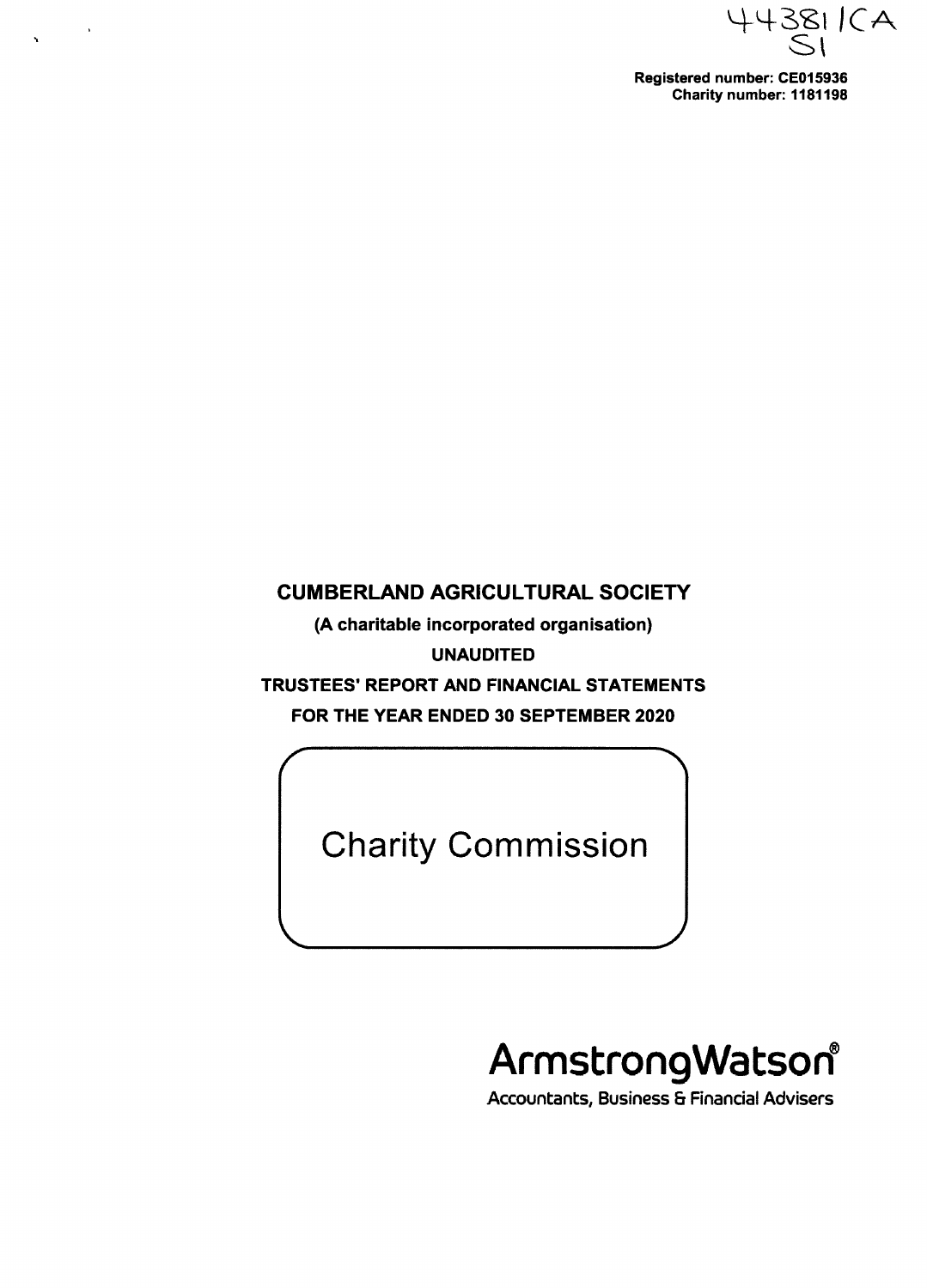44381 ICA St  $\begin{array}{c}\n\mathbf{1} & \mathbf{1} & \mathbf{1} & \mathbf{1} & \mathbf{1} \\
\mathbf{1} & \mathbf{1} & \mathbf{1} & \mathbf{1} & \mathbf{1} \\
\mathbf{1} & \mathbf{1} & \mathbf{1} & \mathbf{1} & \mathbf{1} \\
\mathbf{1} & \mathbf{1} & \mathbf{1} & \mathbf{1} & \mathbf{1} \\
\mathbf{1} & \mathbf{1} & \mathbf{1} & \mathbf{1} & \mathbf{1} \\
\mathbf{1} & \mathbf{1} & \mathbf{1} & \mathbf{1} & \mathbf{1} \\
\math$ 

**Registered number: CE015936 Charity number: 1181198**

# **CUMBERLAND AGRICULTURAL SOCIETY**

 $\sim$ 

**(A charitable incorporated organisation) UNAUDITED TRUSTEES' REPORT AND FINANCIAL STATEMENTS FOR THE YEAR ENDED 30 SEPTEMBER 2020**

Charity Commission

# **ArmstrongWatsod**

i

**Accountants, Business & Financial Advisers**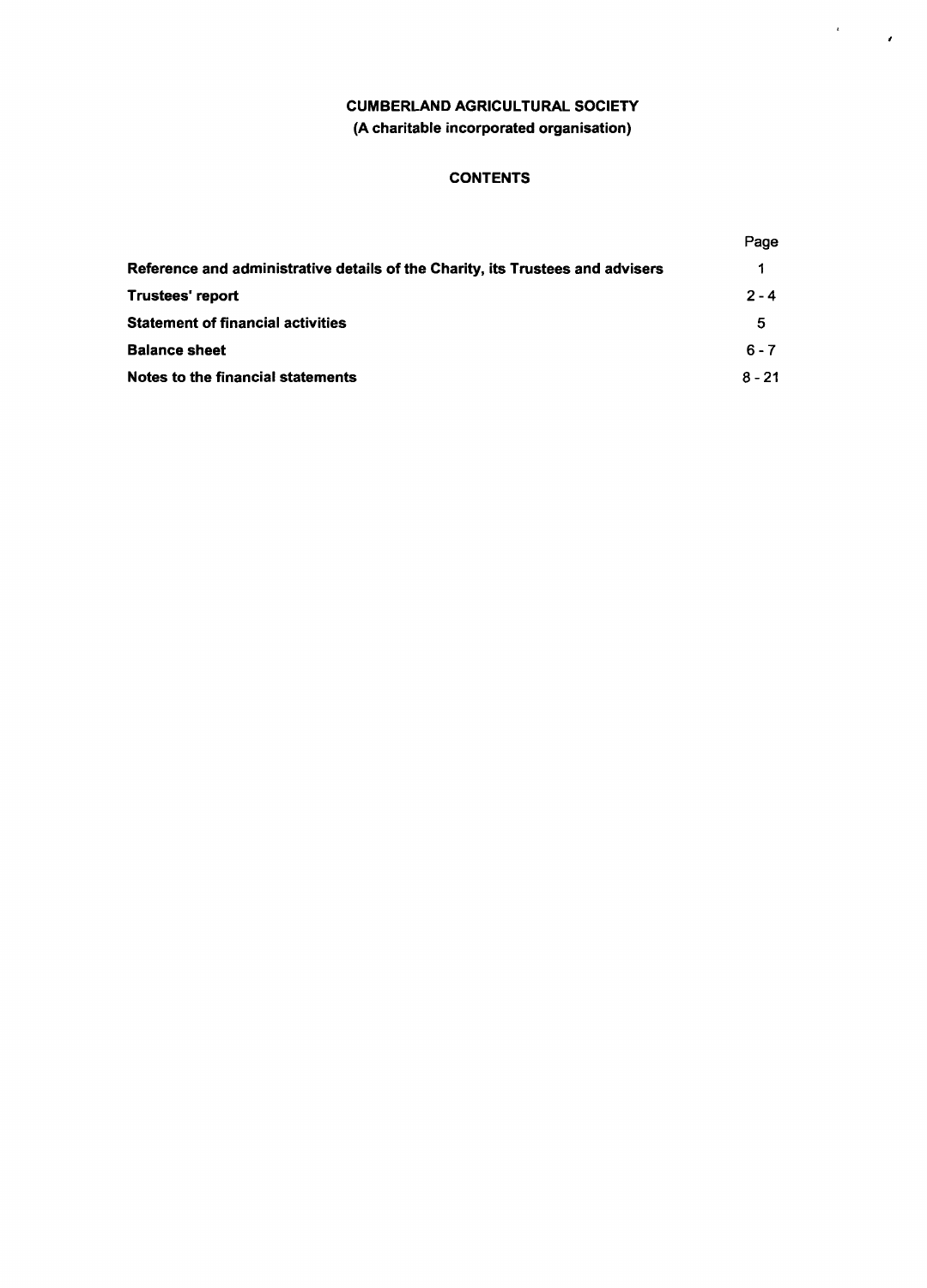## **CUMBERLAND AGRICULTURAL SOCIETY (A charitable incorporated organisation)**

*I*

## **CONTENTS**

|                                                                                | Page     |
|--------------------------------------------------------------------------------|----------|
| Reference and administrative details of the Charity, its Trustees and advisers |          |
| <b>Trustees' report</b>                                                        | $2 - 4$  |
| <b>Statement of financial activities</b>                                       | 5        |
| <b>Balance sheet</b>                                                           | $6 - 7$  |
| Notes to the financial statements                                              | $8 - 21$ |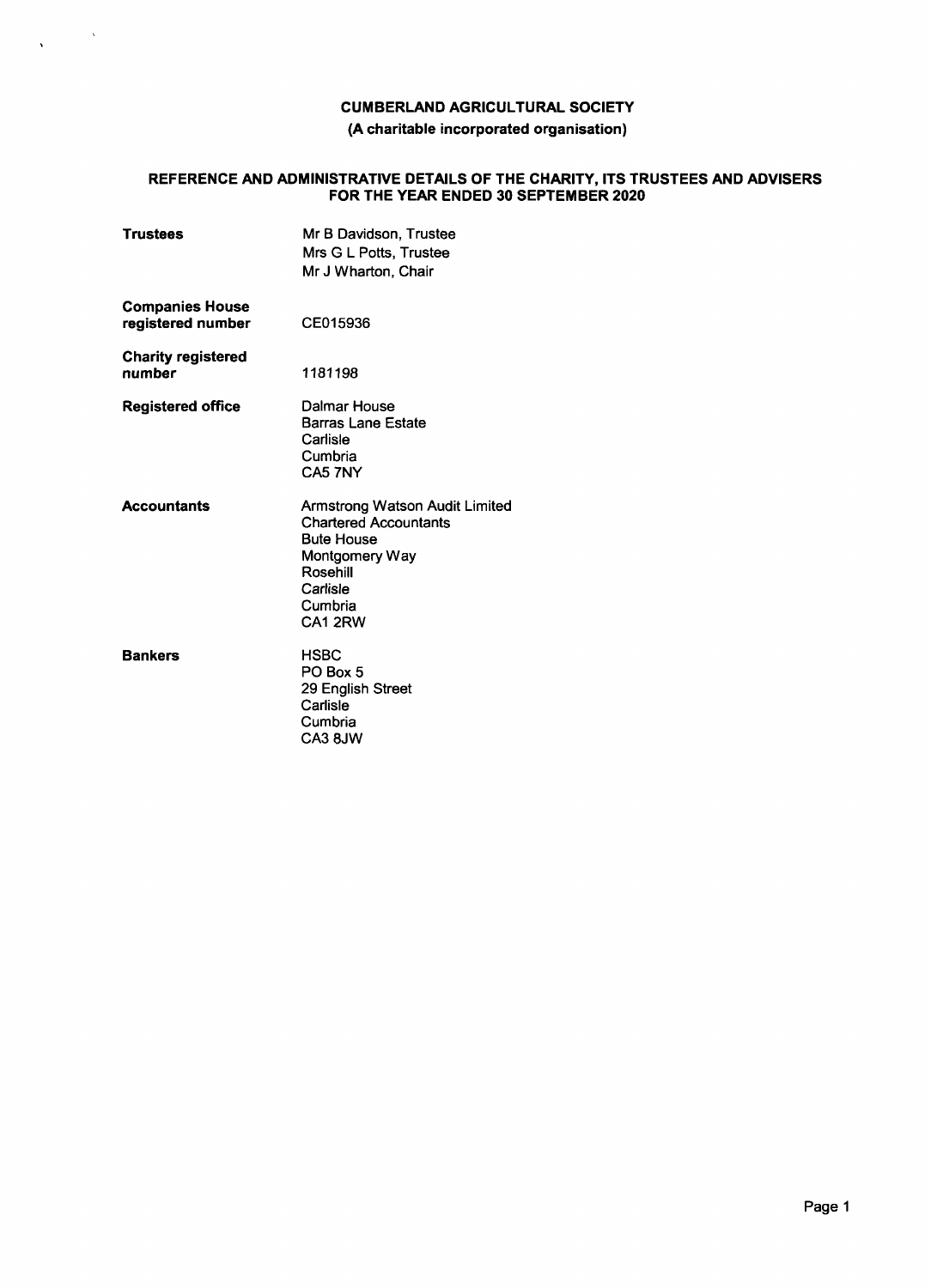#### **(A charitable incorporated organisation)**

## **REFERENCE AND ADMINISTRATIVE DETAILS OF THE CHARITY, ITS TRUSTEES AND ADVISERS FOR THE YEAR ENDED 30 SEPTEMBER 2020**

| <b>Trustees</b>                             | Mr B Davidson, Trustee<br>Mrs G L Potts, Trustee<br>Mr J Wharton, Chair                                                                            |
|---------------------------------------------|----------------------------------------------------------------------------------------------------------------------------------------------------|
| <b>Companies House</b><br>registered number | CE015936                                                                                                                                           |
| <b>Charity registered</b><br>number         | 1181198                                                                                                                                            |
| <b>Registered office</b>                    | Dalmar House<br><b>Barras Lane Estate</b><br>Carlisle<br>Cumbria<br>CA5 7NY                                                                        |
| <b>Accountants</b>                          | Armstrong Watson Audit Limite<br><b>Chartered Accountants</b><br><b>Bute House</b><br>Montgomery Way<br>Rosehill<br>Carlisle<br>Cumbria<br>CA1 2RW |
| <b>Bankers</b>                              | <b>HSBC</b><br>PO Box 5<br>29 English Street<br>Carlisle<br>Cumbria<br>CA3 8JW                                                                     |

 $\frac{1}{\sqrt{2\pi}}\left(\frac{1}{\sqrt{2\pi}}\right)^{1/2}\frac{1}{\sqrt{2\pi}}\left(\frac{1}{\sqrt{2\pi}}\right)^{1/2}$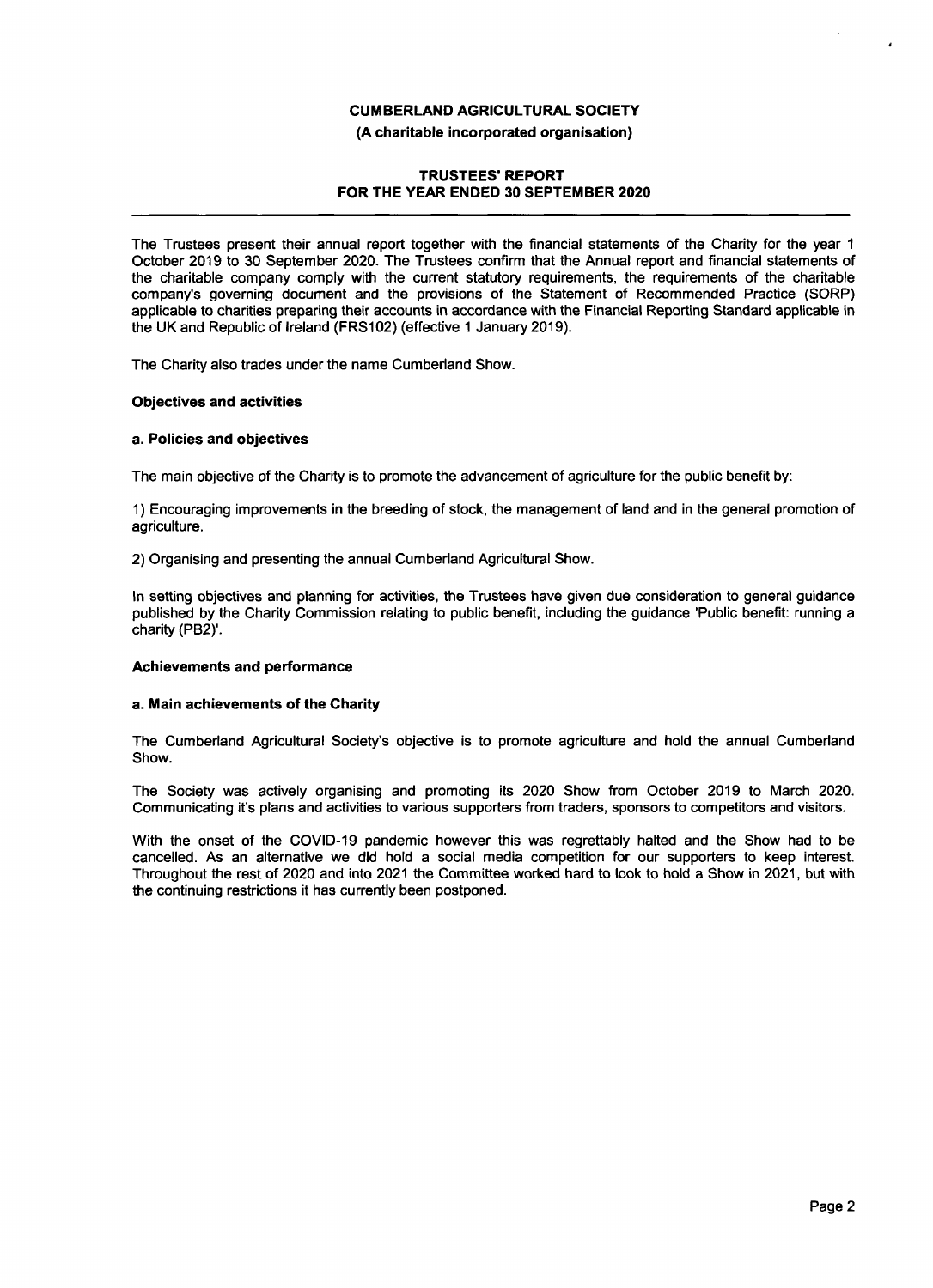**(A charitable incorporated organisation)**

## **TRUSTEES' REPORT FOR THE YEAR ENDED 30 SEPTEMBER 2020**

The Trustees present their annual report together with the financial statements of the Charity for the year 1 October 2019 to 30 September 2020. The Trustees confirm that the Annual report and financial statements of the charitable company comply with the current statutory requirements, the requirements of the charitable company's governing document and the provisions of the Statement of Recommended Practice (SORP) applicable to charities preparing their accounts in accordance with the Financial Reporting Standard applicable in the UK and Republic of Ireland (FRS102) (effective 1 January 2019).

The Charity also trades under the name Cumberland Show.

#### **Objectives and activities**

#### **a. Policies and objectives**

The main objective of the Charity is to promote the advancement of agriculture for the public benefit by:

1) Encouraging improvements in the breeding of stock, the management of land and in the general promotion of agriculture.

2) Organising and presenting the annual Cumberland Agricultural Show.

In setting objectives and planning for activities, the Trustees have given due consideration to general guidance published by the Charity Commission relating to public benefit, including the guidance 'Public benefit: running a charity (P82)'.

## **Achievements and performance**

#### **a. Main achievements of the Charity**

The Cumberland Agricultural Society's objective is to promote agriculture and hold the annual Cumberland Show.

The Society was actively organising and promoting its 2020 Show from October 2019 to March 2020. Communicating it's plans and activities to various supporters from traders, sponsors to competitors and visitors.

With the onset of the COVID−19 pandemic however this was regrettably halted and the Show had to be cancelled. As an alternative we did hold a social media competition for our supporters to keep interest. Throughout the rest of 2020 and into 2021 the Committee worked hard to look to hold a Show in 2021, but with the continuing restrictions it has currently been postponed.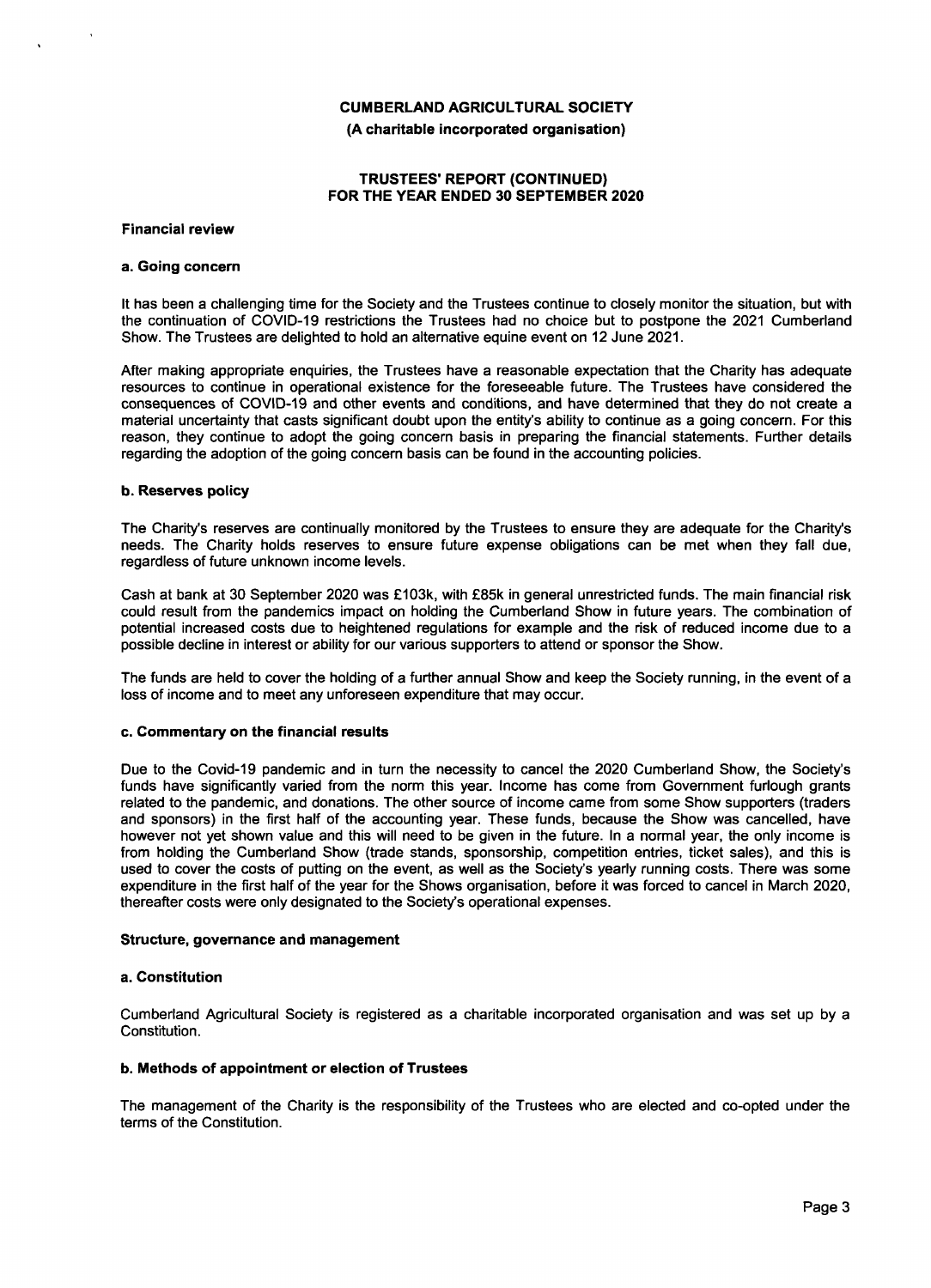**(A charitable incorporated organisation)**

## **TRUSTEES REPORT (CONTINUED) FOR THE YEAR ENDED 30 SEPTEMBER 2020**

**Financial review**

#### **a. Going concern**

It has been a challenging time for the Society and the Trustees continue to closely monitor the situation, but with the continuation of COVID−19 restrictions the Trustees had no choice but to postpone the 2021 Cumberland Show. The Trustees are delighted to hold an alternative equine event on 12 June 2021.

After making appropriate enquiries, the Trustees have a reasonable expectation that the Charity has adequate resources to continue in operational existence for the foreseeable future. The Trustees have considered the consequences of COVID−19 and other events and conditions, and have determined that they do not create a material uncertainty that casts significant doubt upon the entity's ability to continue as a going concern. For this reason, they continue to adopt the going concern basis in preparing the financial statements. Further details regarding the adoption of the going concern basis can be found in the accounting policies.

#### **b. Reserves policy**

The Charity's reserves are continually monitored by the Trustees to ensure they are adequate for the Charity's needs. The Charity holds reserves to ensure future expense obligations can be met when they fall due, regardless of future unknown income levels.

Cash at bank at 30 September 2020 was £103k, with £85k in general unrestricted funds. The main financial risk could result from the pandemics impact on holding the Cumberland Show in future years. The combination of potential increased costs due to heightened regulations for example and the risk of reduced income due to a possible decline in interest or ability for our various supporters to attend or sponsor the Show.

The funds are held to cover the holding of a further annual Show and keep the Society running, in the event of a loss of income and to meet any unforeseen expenditure that may occur.

#### **c. Commentary on the financial results**

Due to the Covid−19 pandemic and in turn the necessity to cancel the 2020 Cumberland Show, the Society's funds have significantly varied from the norm this year. Income has come from Government furlough grants related to the pandemic, and donations. The other source of income came from some Show supporters (traders and sponsors) in the first half of the accounting year. These funds, because the Show was cancelled, have however not yet shown value and this will need to be given in the future. In a normal year, the only income is from holding the Cumberland Show (trade stands, sponsorship, competition entries, ticket sales), and this is used to cover the costs of putting on the event, as well as the Society's yearly running costs. There was some expenditure in the first half of the year for the Shows organisation, before it was forced to cancel in March 2020, thereafter costs were only designated to the Society's operational expenses.

## **Structure, governance and management**

#### **a. Constitution**

Cumberland Agricultural Society is registered as a charitable incorporated organisation and was set up by a Constitution.

#### **b. Methods of appointment or election of Trustees**

The management of the Charity is the responsibility of the Trustees who are elected and co−opted under the terms of the Constitution.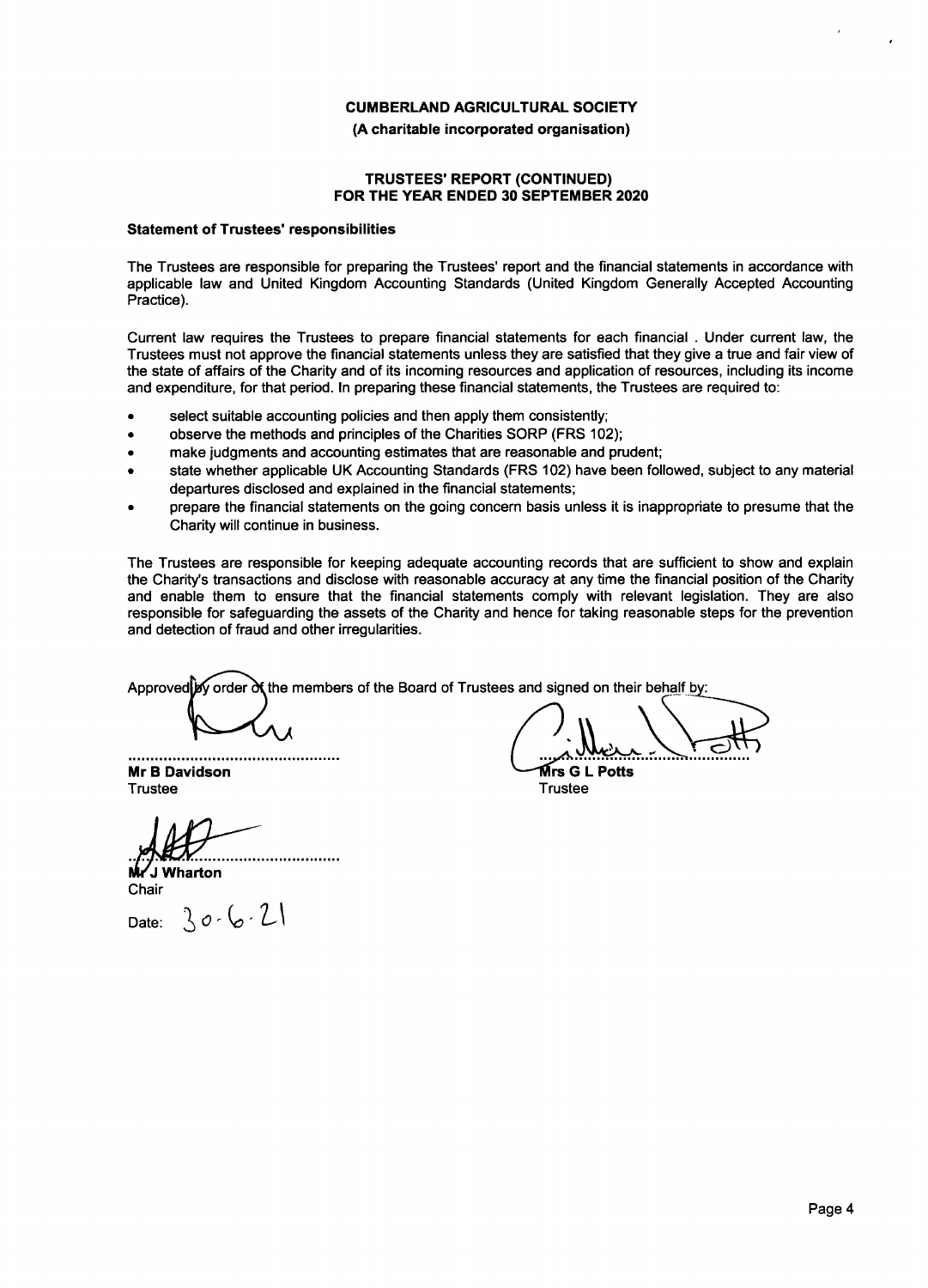#### **(A charitable incorporated organisation)**

## **TRUSTEES' REPORT (CONTINUED) FOR THE YEAR ENDED 30 SEPTEMBER 2020**

#### **Statement of Trustees' responsibilities**

The Trustees are responsible for preparing the Trustees' report and the financial statements in accordance with applicable law and United Kingdom Accounting Standards (United Kingdom Generally Accepted Accounting Practice).

Current law requires the Trustees to prepare financial statements for each financial Under current law, the . Trustees must not approve the financial statements unless they are satisfied that they give a true and fair view of the state of affairs of the Charity and of its incoming resources and application of resources, including its income and expenditure, for that period. In preparing these financial statements, the Trustees are required to:

- select suitable accounting policies and then apply them consistently;
- observe the methods and principles of the Charities SORP (FRS 102);
- make judgments and accounting estimates that are reasonable and prudent;
- state whether applicable UK Accounting Standards (FRS 102) have been followed, subject to any material departures disclosed and explained in the financial statements;
- prepare the financial statements on the going concern basis unless it is inappropriate to presume that the Charity will continue in business.

The Trustees are responsible for keeping adequate accounting records that are sufficient to show and explain the Charity's transactions and disclose with reasonable accuracy at any time the financial position of the Charity and enable them to ensure that the financial statements comply with relevant legislation. They are also responsible for safeguarding the assets of the Charity and hence for taking reasonable steps for the prevention and detection of fraud and other irregularities.

Approved  $\mathbf{y}$  order  $\mathbf{d}$  the members of the Board of Trustees and signed on their behalf by:

............................ **Mr B Davidson** Trustee

**J Wharton** Chair

 $30 - 6 - 21$ Date:

**rs G L Potts**

**Trustee**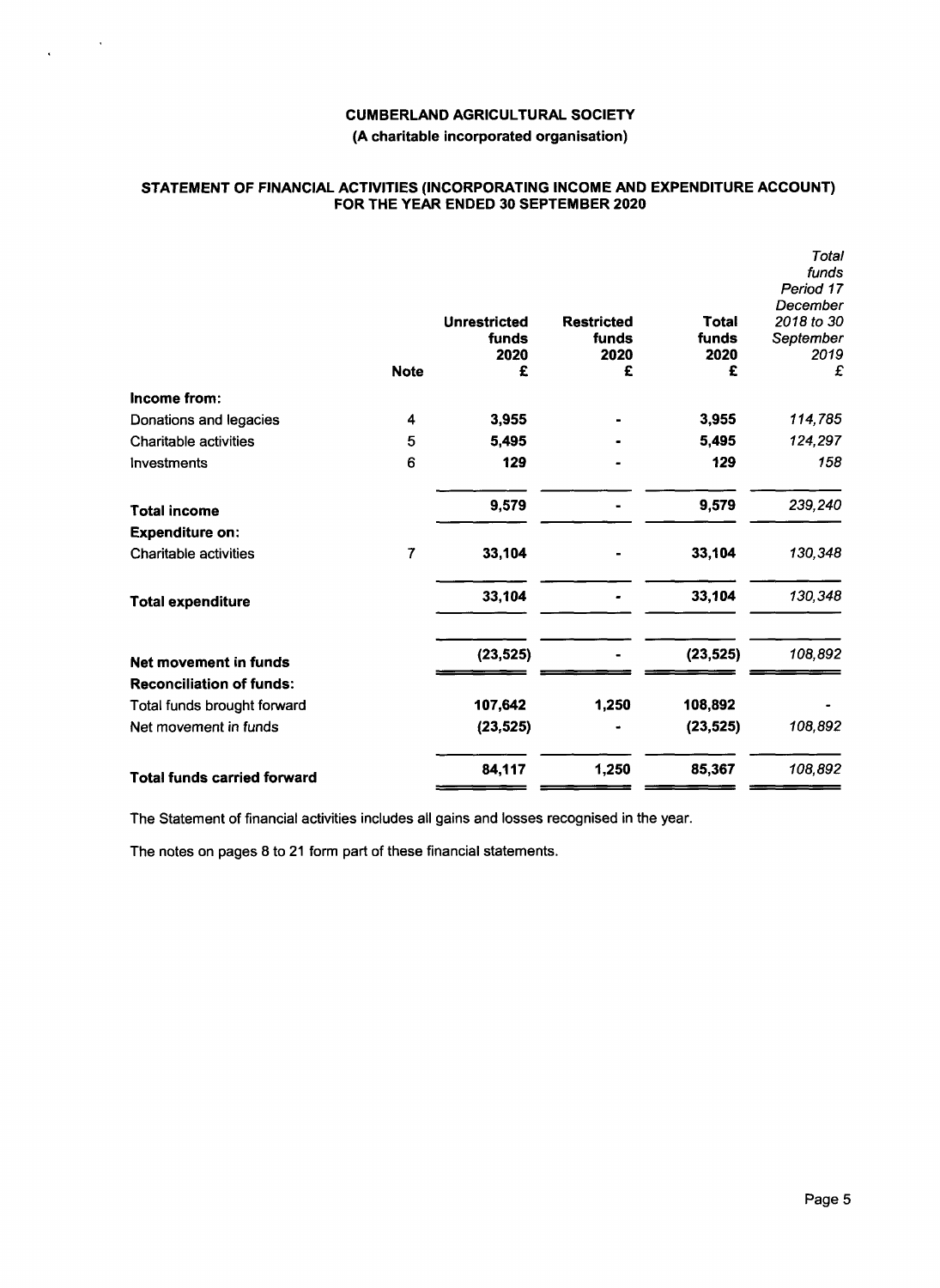$\lambda$ 

 $\hat{\mathbf{v}}$ 

## **(A charitable incorporated organisation)**

## **STATEMENT OF FINANCIAL ACTIVITIES (INCORPORATING INCOME AND EXPENDITURE ACCOUNT) FOR THE YEAR ENDED 30 SEPTEMBER 2020**

|                                    | <b>Note</b>    | <b>Unrestricted</b><br>funds<br>2020<br>£ | <b>Restricted</b><br>funds<br>2020<br>£ | Total<br>funds<br>2020<br>£ | Total<br>funds<br>Period 17<br>December<br>2018 to 30<br>September<br>2019<br>£ |
|------------------------------------|----------------|-------------------------------------------|-----------------------------------------|-----------------------------|---------------------------------------------------------------------------------|
| Income from:                       |                |                                           |                                         |                             |                                                                                 |
| Donations and legacies             | 4              | 3,955                                     |                                         | 3,955                       | 114,785                                                                         |
| <b>Charitable activities</b>       | 5              | 5,495                                     |                                         | 5,495                       | 124,297                                                                         |
| Investments                        | 6              | 129                                       |                                         | 129                         | 158                                                                             |
| <b>Total income</b>                |                | 9,579                                     |                                         | 9,579                       | 239,240                                                                         |
| <b>Expenditure on:</b>             |                |                                           |                                         |                             |                                                                                 |
| <b>Charitable activities</b>       | $\overline{7}$ | 33,104                                    |                                         | 33,104                      | 130,348                                                                         |
| <b>Total expenditure</b>           |                | 33,104                                    |                                         | 33,104                      | 130,348                                                                         |
| Net movement in funds              |                | (23, 525)                                 |                                         | (23, 525)                   | 108,892                                                                         |
| <b>Reconciliation of funds:</b>    |                |                                           |                                         |                             |                                                                                 |
| Total funds brought forward        |                | 107,642                                   | 1,250                                   | 108,892                     |                                                                                 |
| Net movement in funds              |                | (23, 525)                                 |                                         | (23, 525)                   | 108,892                                                                         |
| <b>Total funds carried forward</b> |                | 84,117                                    | 1,250                                   | 85,367                      | 108,892                                                                         |

The Statement of financial activities includes all gains and losses recognised in the year.

The notes on pages 8 to 21 form part of these financial statements.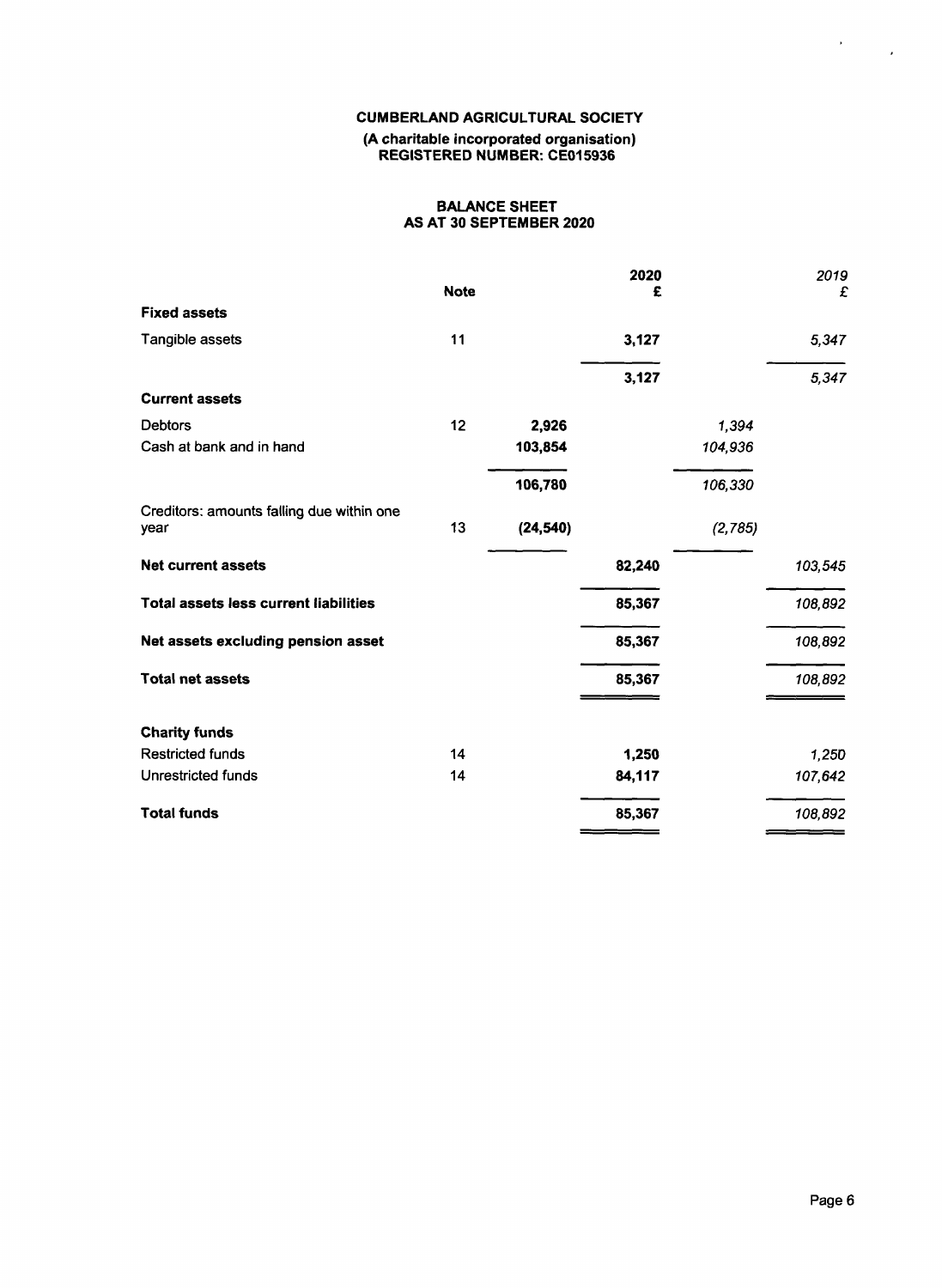## **CUMBERLAND AGRICULTURAL SOCIETY (A charitable incorporated organisation) REGISTERED NUMBER: CE015936**

## **BALANCE SHEET AS AT 30 SEPTEMBER 2020**

|                                                   | <b>Note</b> |           | 2020<br>£ |         | 2019<br>£ |
|---------------------------------------------------|-------------|-----------|-----------|---------|-----------|
| <b>Fixed assets</b>                               |             |           |           |         |           |
| Tangible assets                                   | 11          |           | 3,127     |         | 5,347     |
|                                                   |             |           | 3,127     |         | 5,347     |
| <b>Current assets</b>                             |             |           |           |         |           |
| <b>Debtors</b>                                    | 12          | 2,926     |           | 1,394   |           |
| Cash at bank and in hand                          |             | 103,854   |           | 104,936 |           |
|                                                   |             | 106,780   |           | 106,330 |           |
| Creditors: amounts falling due within one<br>year | 13          | (24, 540) |           | (2,785) |           |
| <b>Net current assets</b>                         |             |           | 82,240    |         | 103,545   |
| Total assets less current liabilities             |             |           | 85,367    |         | 108,892   |
| Net assets excluding pension asset                |             |           | 85,367    |         | 108,892   |
| <b>Total net assets</b>                           |             |           | 85,367    |         | 108,892   |
| <b>Charity funds</b>                              |             |           |           |         |           |
| <b>Restricted funds</b>                           | 14          |           | 1,250     |         | 1,250     |
| Unrestricted funds                                | 14          |           | 84,117    |         | 107,642   |
| <b>Total funds</b>                                |             |           | 85,367    |         | 108,892   |

 $\label{eq:2} \frac{1}{2} \sum_{i=1}^n \frac{1}{2} \sum_{j=1}^n \frac{1}{2} \sum_{j=1}^n \frac{1}{2} \sum_{j=1}^n \frac{1}{2} \sum_{j=1}^n \frac{1}{2} \sum_{j=1}^n \frac{1}{2} \sum_{j=1}^n \frac{1}{2} \sum_{j=1}^n \frac{1}{2} \sum_{j=1}^n \frac{1}{2} \sum_{j=1}^n \frac{1}{2} \sum_{j=1}^n \frac{1}{2} \sum_{j=1}^n \frac{1}{2} \sum_{j=1}^n \frac{1}{$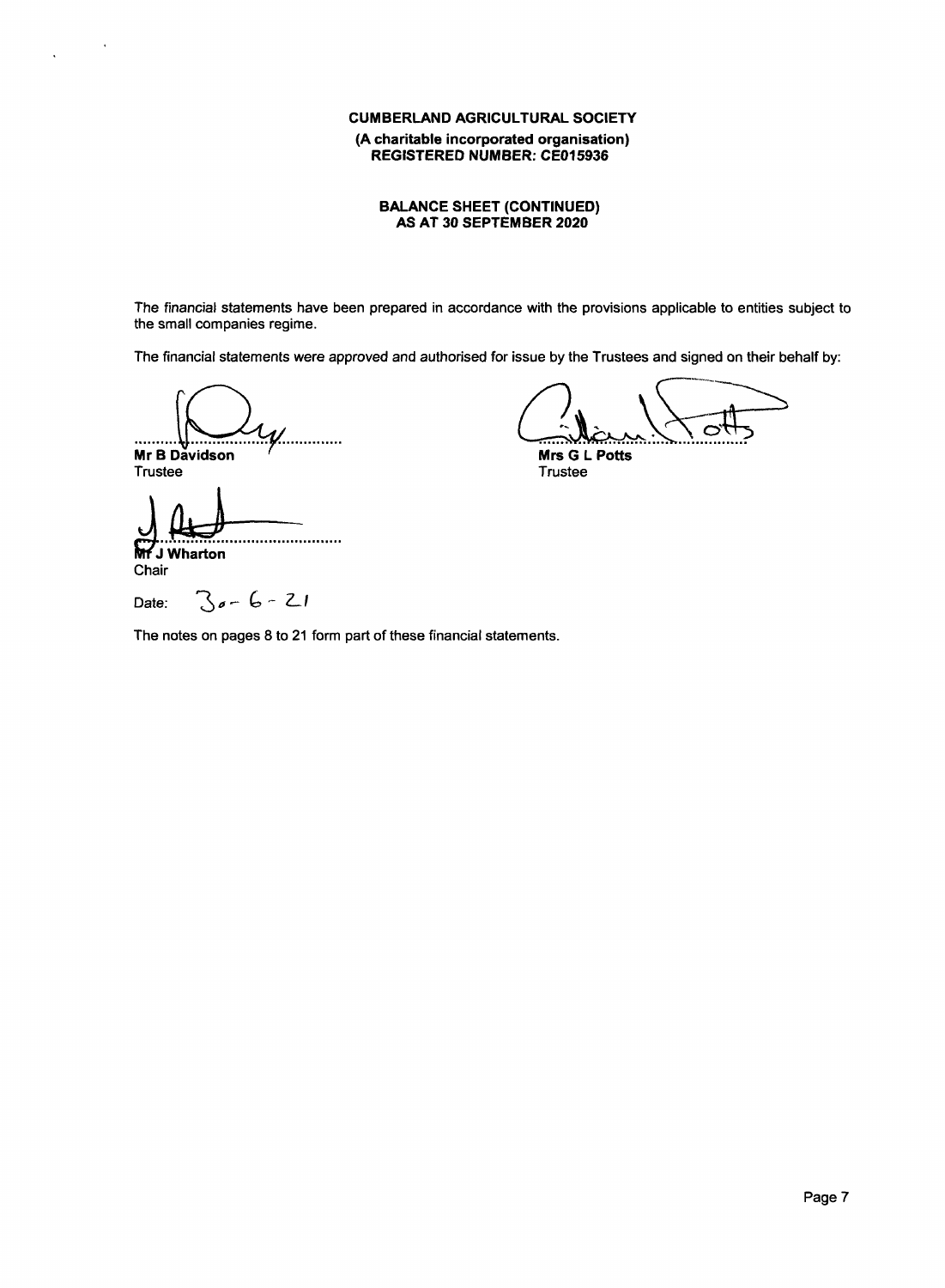## **CUMBERLAND AGRICULTURAL SOCIETY (A charitable incorporated organisation) REGISTERED NUMBER: CE01593**

#### **BALANCE SHEET (CONTINUED) AS AT 30 SEPTEMBER 2020**

The financial statements have been prepared in accordance with the provisions applicable to entities subject to the small companies regime.

The financial statements were approved *and* authorised for issue by the Trustees and signed on their behalf by:

 $\boldsymbol{\mathcal{Y}}$ .............. .......... ы **Mr B Davidson**

A <del>CL</del><br>
Potts<br>
Free<br>
The CL Potts

**Mrs G L Potts** Trustee

Trustee ......................

**J Wharton** Chair

Date:

 $\cdot$ 

 $\ddot{\phantom{a}}$ 

0 — (5 − *2\_1*

The notes on pages 8 to 21 form part of these financial statements.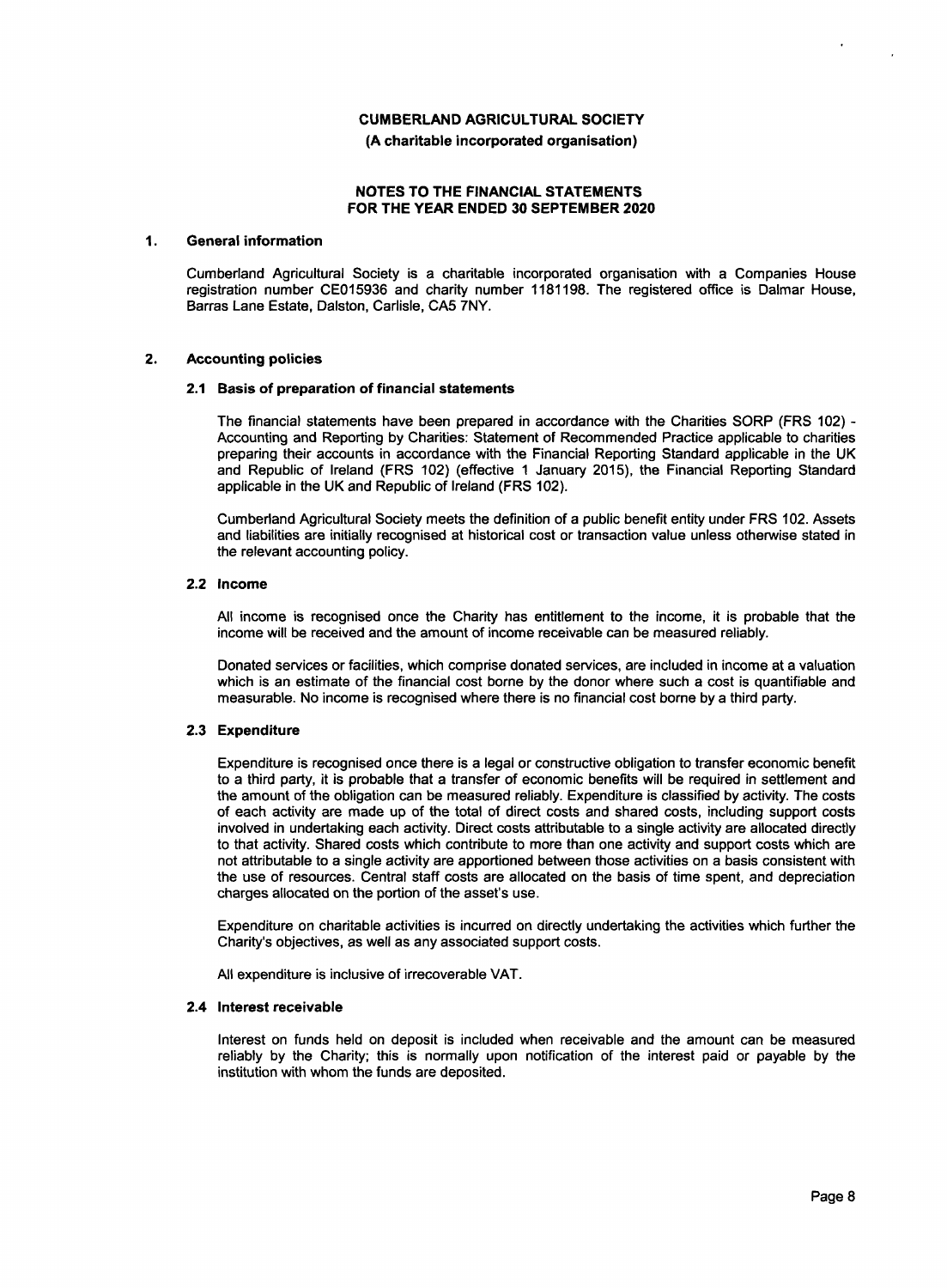**(A charitable incorporated organisation)**

## **NOTES TO THE FINANCIAL STATEMENTS FOR THE YEAR ENDED 30 SEPTEMBER 2020**

#### **1. General information**

Cumberland Agricultural Society is a charitable incorporated organisation with a Companies House registration number CE015936 and charity number 1181198. The registered office is Dalmar House, Barras Lane Estate, Dalston, Carlisle, CA5 7NY.

#### **2. Accounting policies**

#### **2.1 Basis of preparation of financial statements**

The financial statements have been prepared in accordance with the Charities SORP (FRS 102) -Accounting and Reporting by Charities: Statement of Recommended Practice applicable to charities preparing their accounts in accordance with the Financial Reporting Standard applicable in the UK and Republic of Ireland (FRS 102) (effective 1 January 2015), the Financial Reporting Standard applicable in the UK and Republic of Ireland (FRS 102).

Cumberland Agricultural Society meets the definition of a public benefit entity under FRS 102. Assets and liabilities are initially recognised at historical cost or transaction value unless otherwise stated in the relevant accounting policy.

#### **2.2 Income**

All income is recognised once the Charity has entitlement to the income, it is probable that the income will be received and the amount of income receivable can be measured reliably.

Donated services or facilities, which comprise donated services, are included in income at a valuation which is an estimate of the financial cost borne by the donor where such a cost is quantifiable and measurable. No income is recognised where there is no financial cost borne by a third party.

#### **2.3 Expenditure**

Expenditure is recognised once there is a legal or constructive obligation to transfer economic benefit to a third party, it is probable that a transfer of economic benefits will be required in settlement and the amount of the obligation can be measured reliably. Expenditure is classified by activity. The costs of each activity are made up of the total of direct costs and shared costs, including support costs involved in undertaking each activity. Direct costs attributable to a single activity are allocated directly to that activity. Shared costs which contribute to more than one activity and support costs which are not attributable to a single activity are apportioned between those activities on a basis consistent with the use of resources. Central staff costs are allocated on the basis of time spent, and depreciation charges allocated on the portion of the asset's use.

Expenditure on charitable activities is incurred on directly undertaking the activities which further the Charity's objectives, as well as any associated support costs.

All expenditure is inclusive of irrecoverable VAT.

#### **2.4 Interest receivable**

Interest on funds held on deposit is included when receivable and the amount can be measured reliably by the Charity; this is normally upon notification of the interest paid or payable by the institution with whom the funds are deposited.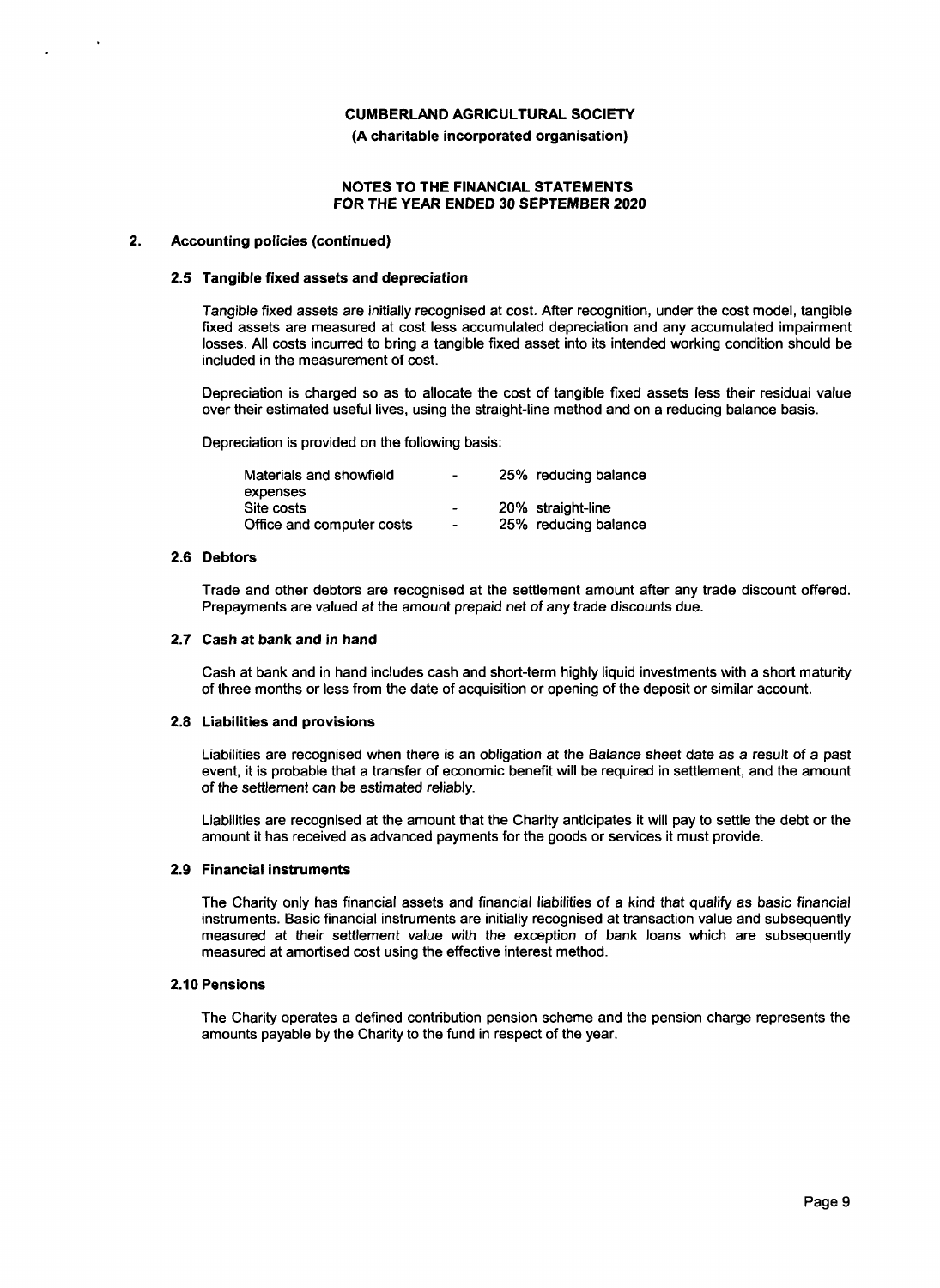**(A charitable incorporated organisation)**

## **NOTES TO THE FINANCIAL STATEMENTS FOR** *THE YEAR ENDED* **30 SEPTEMBER 2020**

#### **2. Accounting policies (continued)**

#### **2.5 Tangible fixed assets and depreciation**

Tangible fixed assets are initially recognised at cost. After recognition, under the cost model, tangible fixed assets are measured at cost less accumulated depreciation and any accumulated impairment losses. All costs incurred to bring a tangible fixed asset into its intended working condition should be included in the measurement of cost.

Depreciation is charged so as to allocate the cost of tangible fixed assets less their residual value over their estimated useful lives, using the straight−line method and on a reducing balance basis.

Depreciation is provided on the following basis:

| Materials and showfield   | $\blacksquare$           | 25% reducing balance |
|---------------------------|--------------------------|----------------------|
| expenses                  |                          |                      |
| Site costs                | $\sim$                   | 20% straight-line    |
| Office and computer costs | $\overline{\phantom{a}}$ | 25% reducing balance |

#### **2.6 Debtors**

Trade and other debtors are recognised at the settlement amount after any trade discount offered. Prepayments are valued at the amount prepaid *net* of any trade discounts due.

#### **2.7 Cash at bank and in hand**

Cash at bank and in hand includes cash and short−term highly liquid investments with a short maturity of three months or less from the date of acquisition or opening of the deposit or similar account.

#### **2.8 Liabilities and provisions**

Liabilities are recognised when there is an obligation at the Balance *sheet* date as a result of a past event, it is probable that a transfer of economic benefit will be required in settlement, and the amount of the settlement can be estimated reliably.

Liabilities are recognised at the amount that the Charity anticipates it will pay to settle the debt or the amount it has received as advanced payments for the goods or services it must provide.

#### **2.9 Financial instruments**

The Charity only has financial assets and financial liabilities of a kind that qualify as basic financial instruments. Basic financial instruments are initially recognised at transaction value and subsequently measured at their settlement value with the exception of bank loans which are subsequently measured at amortised cost using the effective interest method.

#### **2.10 Pensions**

The Charity operates a defined contribution pension scheme and the pension charge represents the amounts payable by the Charity to the fund in respect of the year.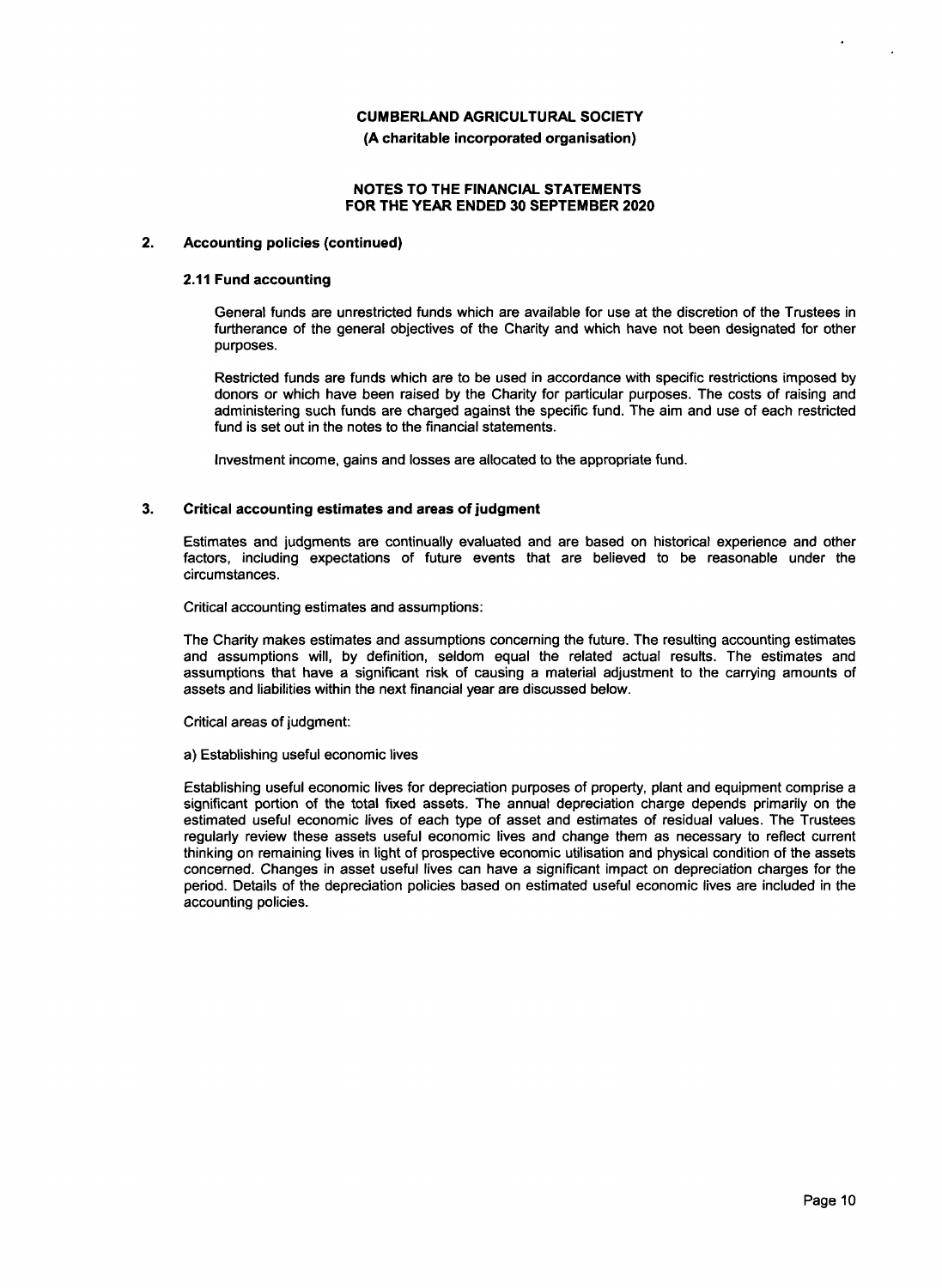**(A charitable incorporated organisation)**

## **NOTES TO THE FINANCIAL STATEMENTS FOR THE YEAR ENDED 30 SEPTEMBER 2020**

## **2. Accounting policies (continued)**

## **2.11 Fund accounting**

General funds are unrestricted funds which are available for use at the discretion of the Trustees in furtherance of the general objectives of the Charity and which have not been designated for other purposes.

Restricted funds are funds which are to be used in accordance with specific restrictions imposed by donors or which have been raised by the Charity for particular purposes. The costs of raising and administering such funds are charged against the specific fund. The aim and use of each restricted fund is set out in the notes to the financial statements.

Investment income, gains and losses are allocated to the appropriate fund.

## **3. Critical accounting estimates and areas of judgment**

Estimates and judgments are continually evaluated and are based on historical experience and other factors, including expectations of future events that are believed to be reasonable under the circumstances.

Critical accounting estimates and assumptions:

The Charity makes estimates and assumptions concerning the future. The resulting accounting estimates and assumptions will, by definition, seldom equal the related actual results. The estimates and assumptions that have a significant risk of causing a material adjustment to the carrying amounts of assets and liabilities within the next financial year are discussed below.

Critical areas of judgment:

#### a) Establishing useful economic lives

Establishing useful economic lives for depreciation purposes of property, plant and equipment comprise a significant portion of the total fixed assets. The annual depreciation charge depends primarily on the estimated useful economic lives of each type of asset and estimates of residual values. The Trustees regularly review these assets useful economic lives and change them as necessary to reflect current thinking on remaining lives in light of prospective economic utilisation and physical condition of the assets concerned. Changes in asset useful lives can have a significant impact on depreciation charges for the period. Details of the depreciation policies based on estimated useful economic lives are included in the accounting policies.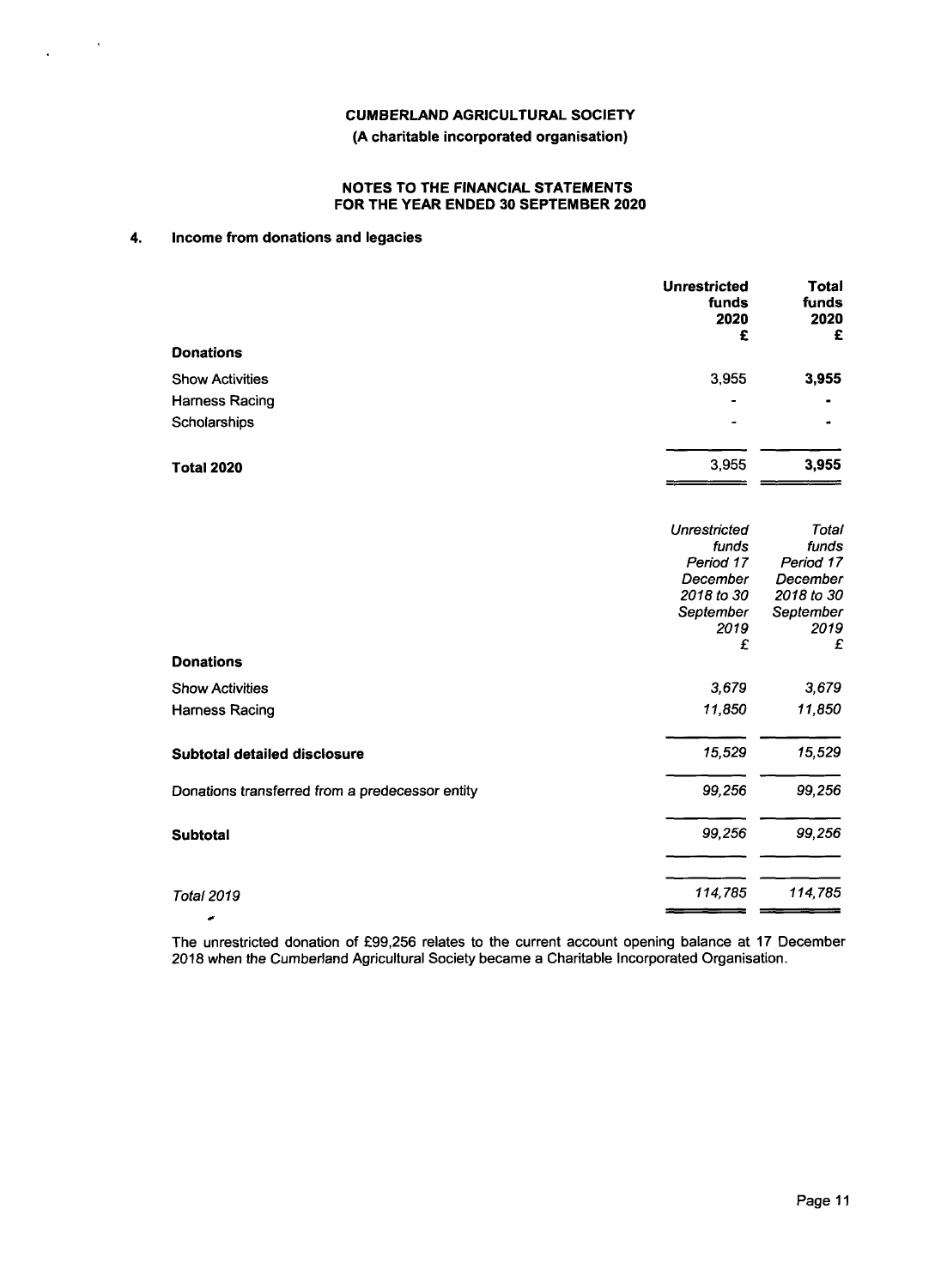## **(A charitable incorporated organisation)**

## **NOTES TO THE FINANCIAL STATEMENTS FOR THE YEAR ENDED 30 SEPTEMBER 2020**

## **4. Income from donations and legacies**

 $\sim$   $\sim$ 

 $\mathcal{L}^{\pm}$ 

|                                                 | <b>Unrestricted</b><br>funds<br>2020<br>£ | Total<br>funds<br>2020<br>£ |
|-------------------------------------------------|-------------------------------------------|-----------------------------|
| <b>Donations</b>                                |                                           |                             |
| <b>Show Activities</b>                          | 3,955                                     | 3,955                       |
| <b>Harness Racing</b>                           |                                           |                             |
| Scholarships                                    |                                           |                             |
| <b>Total 2020</b>                               | 3,955                                     | 3,955                       |
|                                                 | <b>Unrestricted</b>                       | Total                       |
|                                                 | funds<br>Period 17                        | funds<br>Period 17          |
|                                                 | December                                  | December                    |
|                                                 | 2018 to 30                                | 2018 to 30                  |
|                                                 | September                                 | September                   |
|                                                 | 2019<br>£                                 | 2019<br>£                   |
| <b>Donations</b>                                |                                           |                             |
| <b>Show Activities</b>                          | 3,679                                     | 3,679                       |
| <b>Harness Racing</b>                           | 11,850                                    | 11,850                      |
| Subtotal detailed disclosure                    | 15,529                                    | 15,529                      |
| Donations transferred from a predecessor entity | 99,256                                    | 99,256                      |
| Subtotal                                        | 99,256                                    | 99,256                      |
| <b>Total 2019</b>                               | 114,785                                   | 114,785                     |
|                                                 |                                           |                             |

The unrestricted donation of £99,256 relates to the current account opening balance at 17 December 2018 *when* the Cumberland Agricultural Society became a Charitable Incorporated Organisation.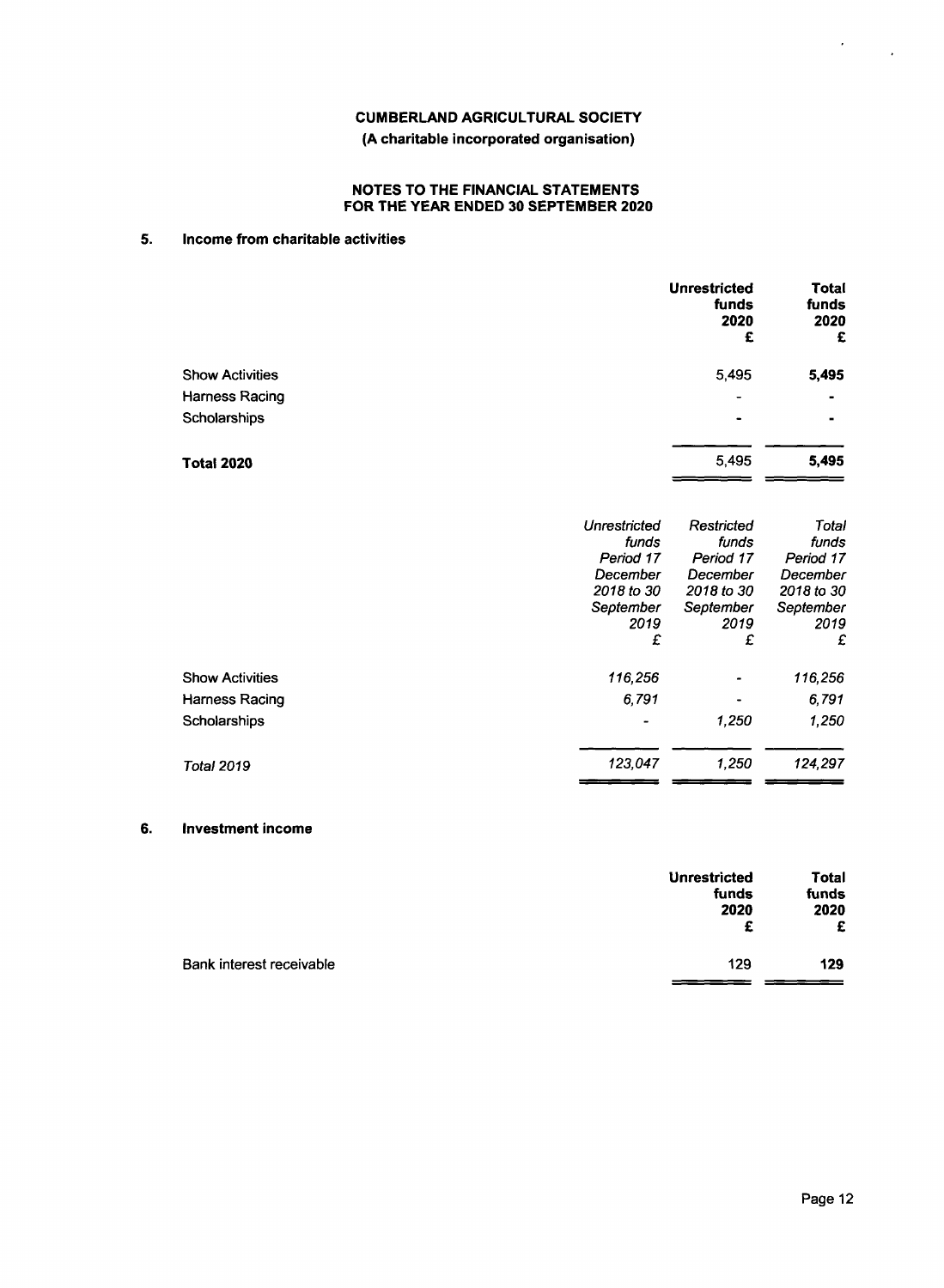## **CUMBERLAND AGRICULTURAL SOCIETY (A charitable incorporated organisation)**

## **NOTES TO THE FINANCIAL STATEMENTS FOR THE YEAR ENDED 30 SEPTEMBER 2020**

## **5. Income from charitable activities**

|                        | <b>Unrestricted</b><br>funds<br>2020<br>£ | <b>Total</b><br>funds<br>2020<br>£ |
|------------------------|-------------------------------------------|------------------------------------|
| <b>Show Activities</b> | 5,495                                     | 5,495                              |
| <b>Harness Racing</b>  | $\overline{\phantom{0}}$                  | ۰                                  |
| Scholarships           | $\qquad \qquad \blacksquare$              |                                    |
| <b>Total 2020</b>      | 5,495                                     | 5,495                              |

|                        | Unrestricted<br>funds<br>Period 17<br>December<br>2018 to 30<br>September<br>2019<br>£ | Restricted<br>funds<br>Period 17<br>December<br>2018 to 30<br>September<br>2019<br>£ | Total<br>funds<br>Period 17<br>December<br>2018 to 30<br>September<br>2019<br>£ |
|------------------------|----------------------------------------------------------------------------------------|--------------------------------------------------------------------------------------|---------------------------------------------------------------------------------|
| <b>Show Activities</b> | 116,256                                                                                | ۰                                                                                    | 116,256                                                                         |
| Harness Racing         | 6,791                                                                                  | $\blacksquare$                                                                       | 6,791                                                                           |
| Scholarships           |                                                                                        | 1,250                                                                                | 1,250                                                                           |
| <b>Total 2019</b>      | 123,047                                                                                | 1.250                                                                                | 124,297                                                                         |

## **6. Investment income**

|                          | <b>Unrestricted</b><br>funds<br>2020<br>£ | Total<br>funds<br>2020<br>£ |
|--------------------------|-------------------------------------------|-----------------------------|
| Bank interest receivable | 129                                       | 129                         |

 $\mathcal{L}_{\mathcal{A}}$ 

 $\mathcal{A}^{\mathcal{A}}$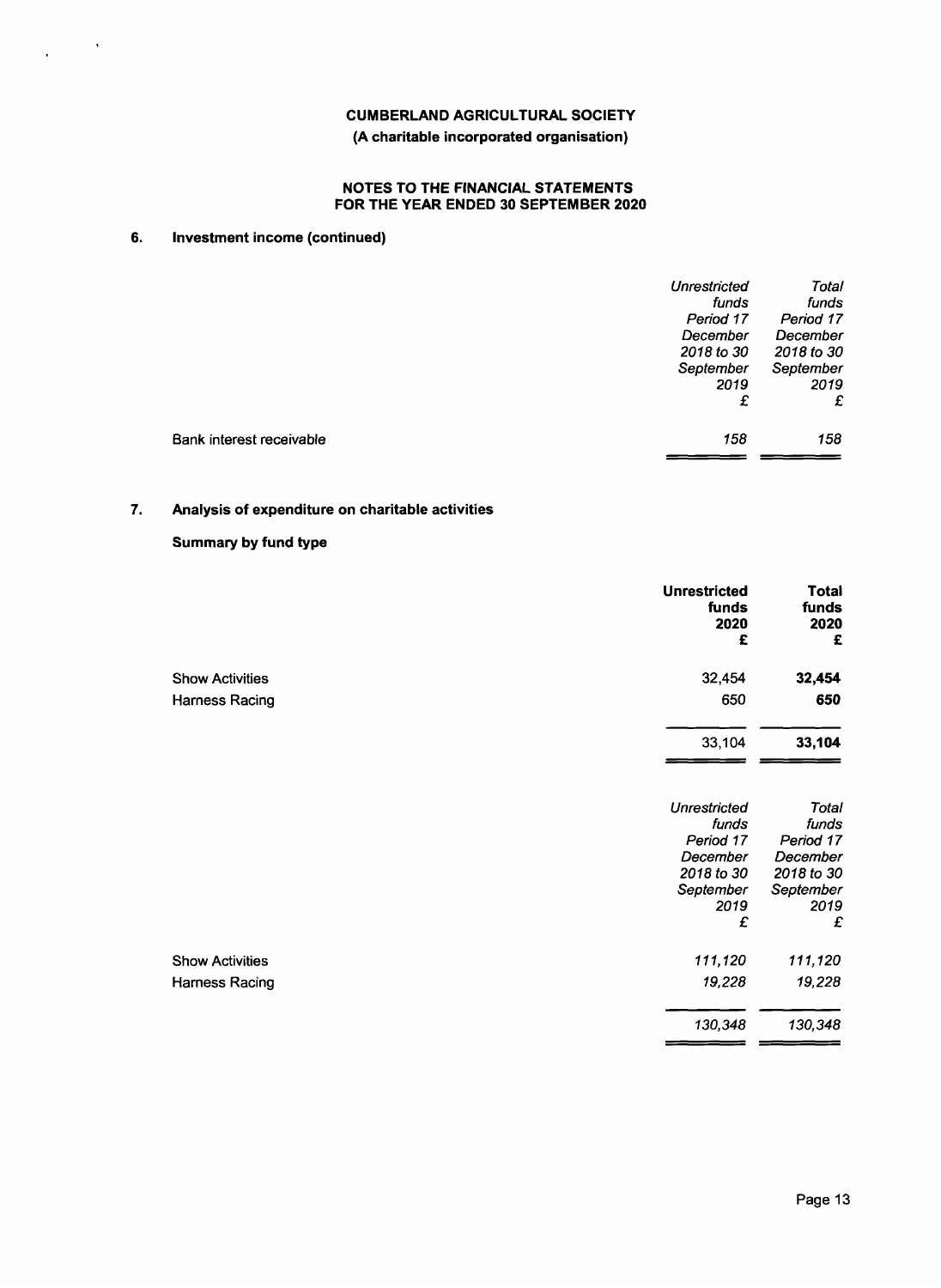**(A charitable incorporated organisation)**

## **NOTES TO THE FINANCIAL STATEMENTS FOR THE YEAR ENDED 30 SEPTEMBER 2020**

## **6. Investment income (continued)**

 $\mathcal{L}^{\text{max}}(\mathcal{S})$ 

|                          | <b>Unrestricted</b> | Total      |
|--------------------------|---------------------|------------|
|                          | funds               | funds      |
|                          | Period 17           | Period 17  |
|                          | December            | December   |
|                          | 2018 to 30          | 2018 to 30 |
|                          | September           | September  |
|                          | 2019                | 2019       |
|                          | £                   | £          |
| Bank interest receivable | 158                 | 158        |
|                          |                     |            |

## **7. Analysis of expenditure on charitable activities**

## **Summary by fund type**

| <b>Unrestricted</b><br>funds<br>2020<br>£ | <b>Total</b><br>funds<br>2020<br>£ |
|-------------------------------------------|------------------------------------|
| 32,454<br><b>Show Activities</b>          | 32,454                             |
| 650<br>Harness Racing                     | 650                                |
| 33,104                                    | 33,104                             |
| <b>Unrestricted</b><br>funds              | Total<br>funds                     |
| Period 17                                 | Period 17                          |
| December                                  | December                           |
| 2018 to 30                                | 2018 to 30                         |
| September                                 | September                          |
| 2019<br>£                                 | 2019<br>£                          |
| 111,120<br><b>Show Activities</b>         | 111,120                            |
| 19,228<br>Harness Racing                  | 19,228                             |
| 130,348                                   | 130,348                            |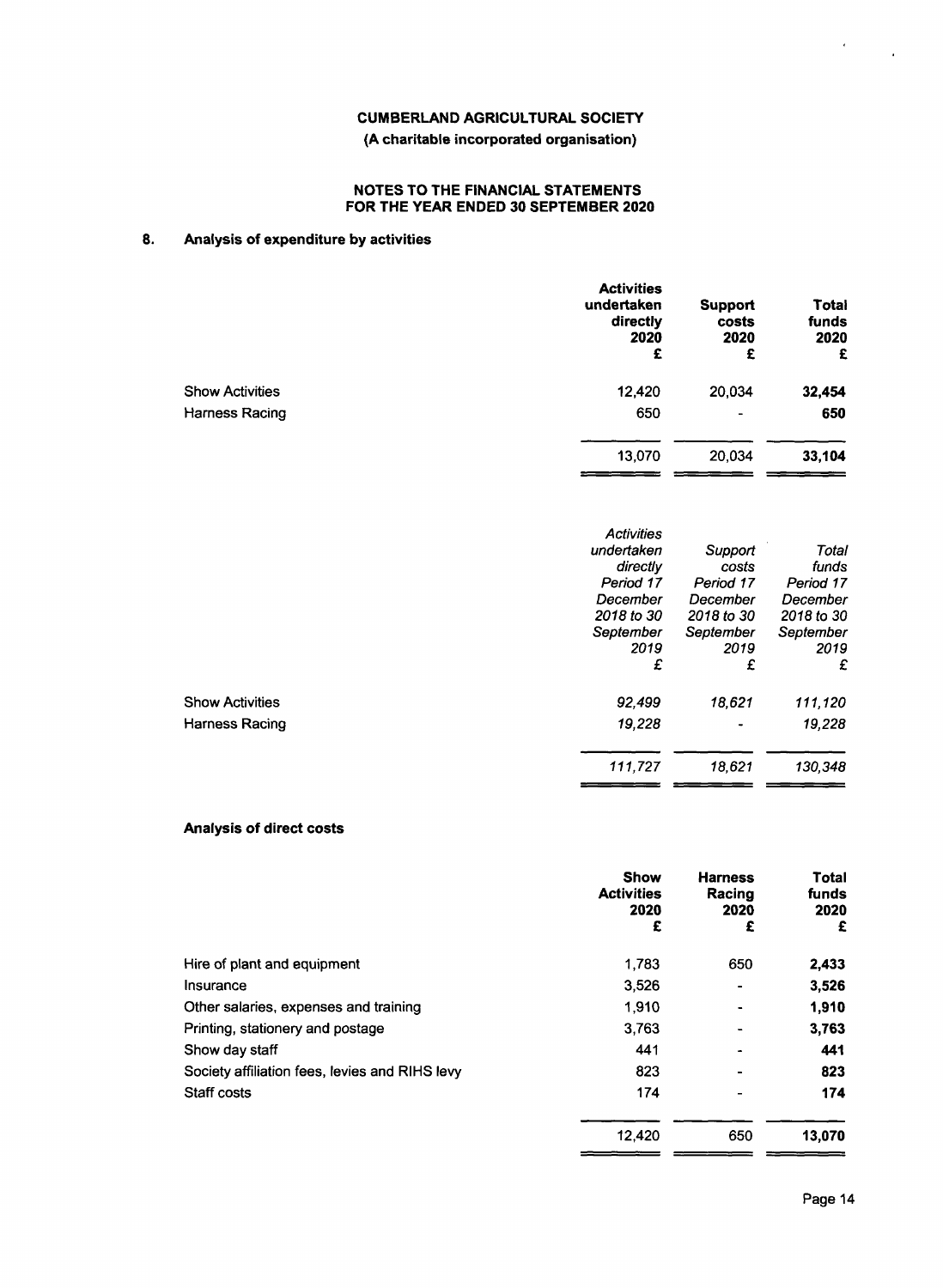# **CUMBERLAND AGRICULTURAL SOCIETY (A charitable incorporated organisation)**

#### **NOTES TO THE FINANCIAL STATEMENT FOR THE YEAR ENDED 30 SEPTEMBER 2020**

## **8. Analysis of expenditure by activities**

|                        | <b>Activities</b><br>undertaken<br>directly<br>2020<br>£ | <b>Support</b><br>costs<br>2020<br>£ | Total<br>funds<br>2020<br>£ |
|------------------------|----------------------------------------------------------|--------------------------------------|-----------------------------|
| <b>Show Activities</b> | 12,420                                                   | 20,034                               | 32,454                      |
| Harness Racing         | 650                                                      | $\overline{\phantom{a}}$             | 650                         |
|                        | 13,070                                                   | 20,034                               | 33,104                      |
|                        |                                                          |                                      |                             |

|                        | <b>Activities</b> |            |            |
|------------------------|-------------------|------------|------------|
|                        | undertaken        | Support    | Total      |
|                        | directly          | costs      | funds      |
|                        | Period 17         | Period 17  | Period 17  |
|                        | December          | December   | December   |
|                        | 2018 to 30        | 2018 to 30 | 2018 to 30 |
|                        | September         | September  | September  |
|                        | 2019              | 2019       | 2019       |
|                        | £                 | £          | £          |
| <b>Show Activities</b> | 92,499            | 18,621     | 111,120    |
| Harness Racing         | 19,228            | ٠          | 19,228     |
|                        | 111.727           | 18.621     | 130,348    |
|                        |                   |            |            |

## **Analysis of direct costs**

|                                                | <b>Show</b><br><b>Activities</b><br>2020<br>£ | <b>Harness</b><br>Racing<br>2020<br>£ | Total<br>funds<br>2020<br>£ |
|------------------------------------------------|-----------------------------------------------|---------------------------------------|-----------------------------|
| Hire of plant and equipment                    | 1,783                                         | 650                                   | 2,433                       |
| Insurance                                      | 3,526                                         | $\blacksquare$                        | 3,526                       |
| Other salaries, expenses and training          | 1.910                                         | ۰                                     | 1.910                       |
| Printing, stationery and postage               | 3,763                                         |                                       | 3,763                       |
| Show day staff                                 | 441                                           |                                       | 441                         |
| Society affiliation fees, levies and RIHS levy | 823                                           |                                       | 823                         |
| Staff costs                                    | 174                                           |                                       | 174                         |
|                                                | 12,420                                        | 650                                   | 13,070                      |

 $=$   $=$ 

. .

 $\epsilon$ 

 $\ddot{\phantom{a}}$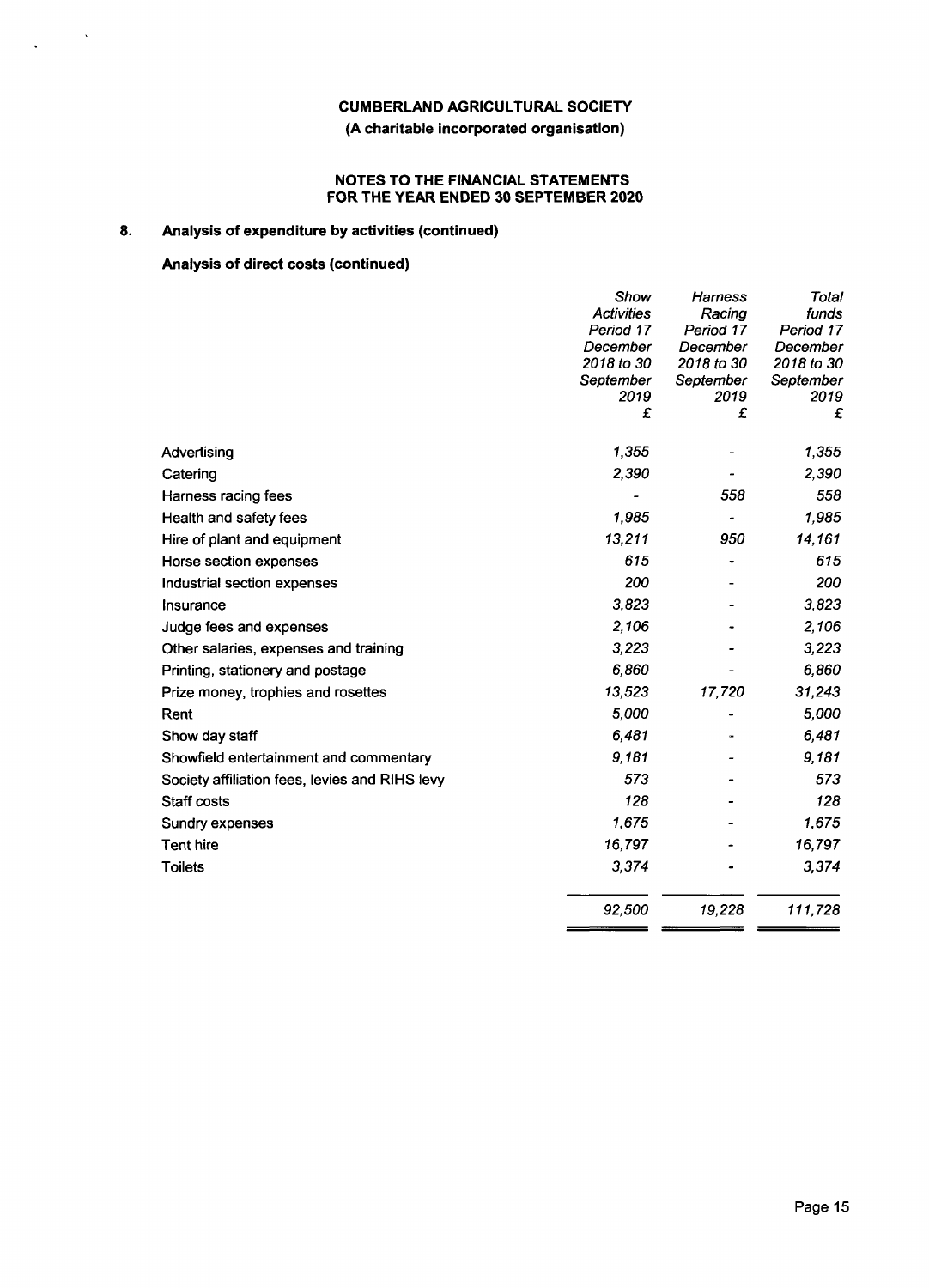## **(A charitable incorporated organisation)**

## **NOTES TO THE FINANCIAL STATEMENTS FOR THE YEAR ENDED 30 SEPTEMBER 2020**

## **8. Analysis of expenditure by activities (continued)**

## **Analysis of direct costs (continued)**

 $\bar{\beta}$ 

 $\ddot{\phantom{a}}$ 

|                                                | Show              | Harness           | Total             |
|------------------------------------------------|-------------------|-------------------|-------------------|
|                                                | <b>Activities</b> | Racing            | funds             |
|                                                | Period 17         | Period 17         | Period 17         |
|                                                | December          | December          | December          |
|                                                | 2018 to 30        | 2018 to 30        | 2018 to 30        |
|                                                | September<br>2019 | September<br>2019 | September<br>2019 |
|                                                | £                 | £                 | £                 |
| Advertising                                    | 1,355             |                   | 1,355             |
| Catering                                       | 2,390             |                   | 2,390             |
| Harness racing fees                            |                   | 558               | 558               |
| Health and safety fees                         | 1,985             |                   | 1,985             |
| Hire of plant and equipment                    | 13,211            | 950               | 14,161            |
| Horse section expenses                         | 615               |                   | 615               |
| Industrial section expenses                    | 200               |                   | 200               |
| Insurance                                      | 3,823             |                   | 3,823             |
| Judge fees and expenses                        | 2,106             |                   | 2,106             |
| Other salaries, expenses and training          | 3,223             |                   | 3,223             |
| Printing, stationery and postage               | 6,860             |                   | 6,860             |
| Prize money, trophies and rosettes             | 13,523            | 17,720            | 31,243            |
| Rent                                           | 5,000             |                   | 5,000             |
| Show day staff                                 | 6,481             |                   | 6,481             |
| Showfield entertainment and commentary         | 9,181             |                   | 9,181             |
| Society affiliation fees, levies and RIHS levy | 573               |                   | 573               |
| Staff costs                                    | 128               |                   | 128               |
| Sundry expenses                                | 1,675             |                   | 1,675             |
| Tent hire                                      | 16,797            |                   | 16,797            |
| <b>Toilets</b>                                 | 3,374             |                   | 3,374             |
|                                                | 92,500            | 19,228            | 111,728           |
|                                                |                   |                   |                   |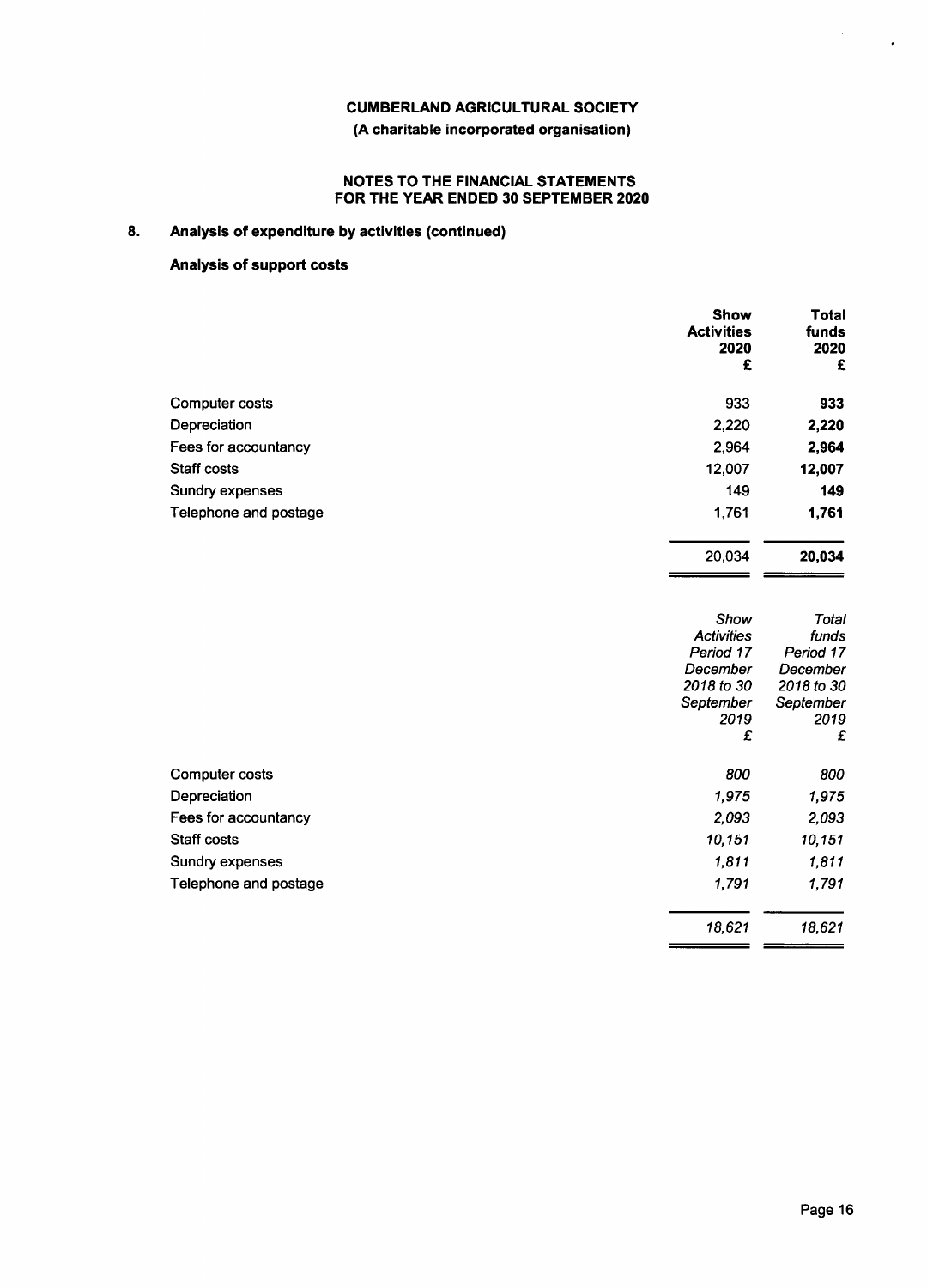## **(A charitable incorporated organisation)**

## **NOTES TO THE FINANCIAL STATEMENTS FOR THE YEAR ENDED 30 SEPTEMBER 2020**

# **8. Analysis of expenditure by activities (continued)**

## **Analysis of support costs**

|                       | <b>Show</b><br><b>Activities</b><br>2020<br>£ | Total<br>funds<br>2020<br>£ |
|-----------------------|-----------------------------------------------|-----------------------------|
| Computer costs        | 933                                           | 933                         |
| Depreciation          | 2,220                                         | 2,220                       |
| Fees for accountancy  | 2,964                                         | 2,964                       |
| <b>Staff costs</b>    | 12,007                                        | 12,007                      |
| Sundry expenses       | 149                                           | 149                         |
| Telephone and postage | 1,761                                         | 1,761                       |
|                       | 20,034                                        | 20,034                      |

|                       | Show              | Total      |
|-----------------------|-------------------|------------|
|                       | <b>Activities</b> | funds      |
|                       | Period 17         | Period 17  |
|                       | December          | December   |
|                       | 2018 to 30        | 2018 to 30 |
|                       | September         | September  |
|                       | 2019              | 2019       |
|                       | £                 | £          |
| Computer costs        | 800               | 800        |
| Depreciation          | 1,975             | 1,975      |
| Fees for accountancy  | 2,093             | 2,093      |
| Staff costs           | 10,151            | 10,151     |
| Sundry expenses       | 1,811             | 1,811      |
| Telephone and postage | 1,791             | 1,791      |
|                       | 18,621            | 18,621     |

 $\bar{\epsilon}$ 

 $\blacksquare$ 

 $=$   $=$ 

 $\ddot{\phantom{0}}$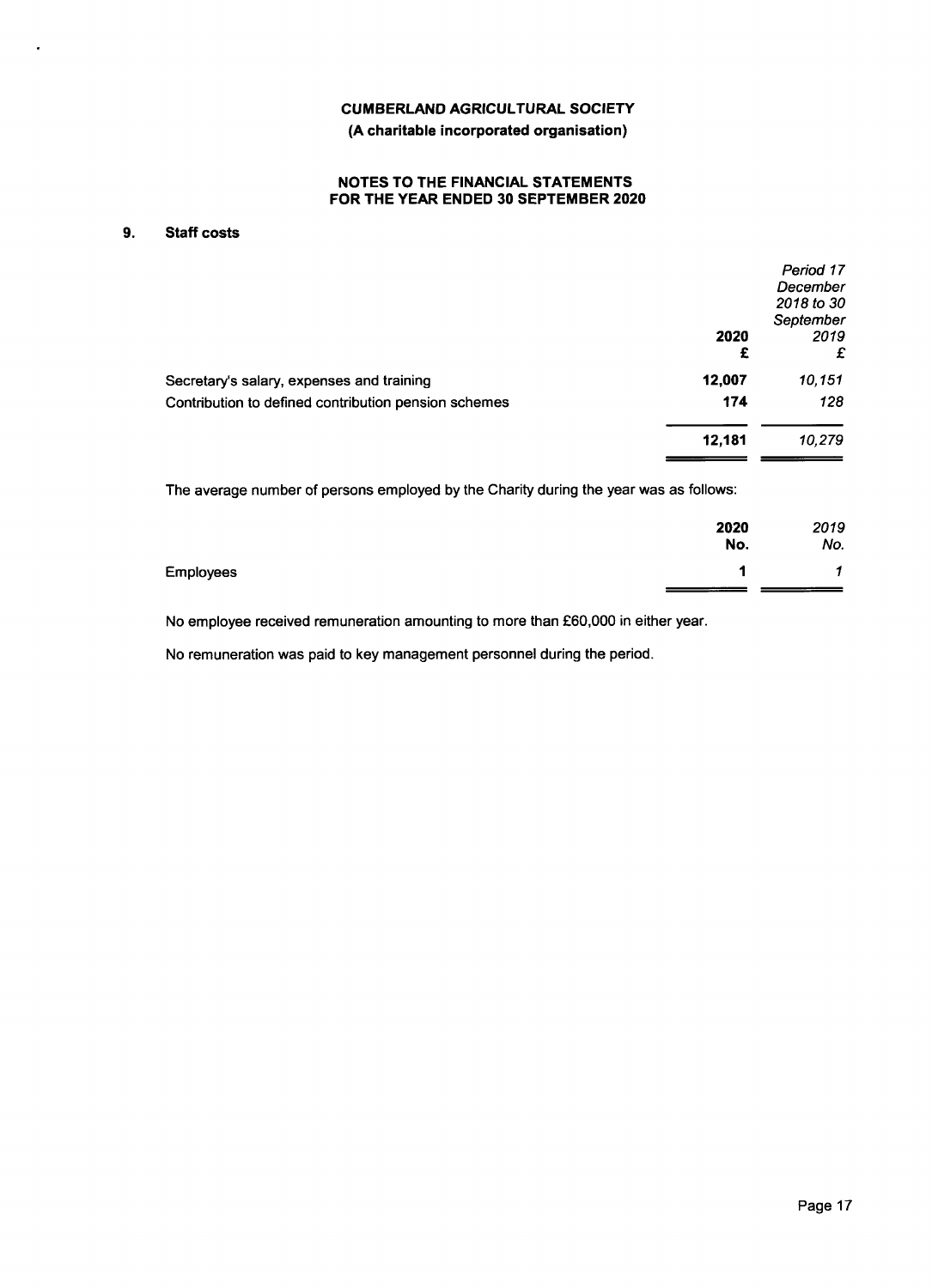**(A charitable incorporated organisation)**

## **NOTES TO THE FINANCIAL STATEMENTS FOR THE YEAR ENDED 30 SEPTEMBER 2020**

## **9. Staff costs**

 $\ddot{\phantom{a}}$ 

|                                                      |           | Period 17<br>December<br>2018 to 30 |
|------------------------------------------------------|-----------|-------------------------------------|
|                                                      | 2020<br>£ | September<br>2019<br>£              |
| Secretary's salary, expenses and training            | 12,007    | 10,151                              |
| Contribution to defined contribution pension schemes | 174       | 128                                 |
|                                                      | 12.181    | 10,279                              |
|                                                      |           |                                     |

The average number of persons employed by the Charity during the year was as follows:

|                  | 2020<br>No. | 2019<br>No. |
|------------------|-------------|-------------|
| <b>Employees</b> |             | -4          |
|                  |             |             |

No employee received remuneration amounting to more than £60,000 in either year.

No remuneration was paid to key management personnel during the period.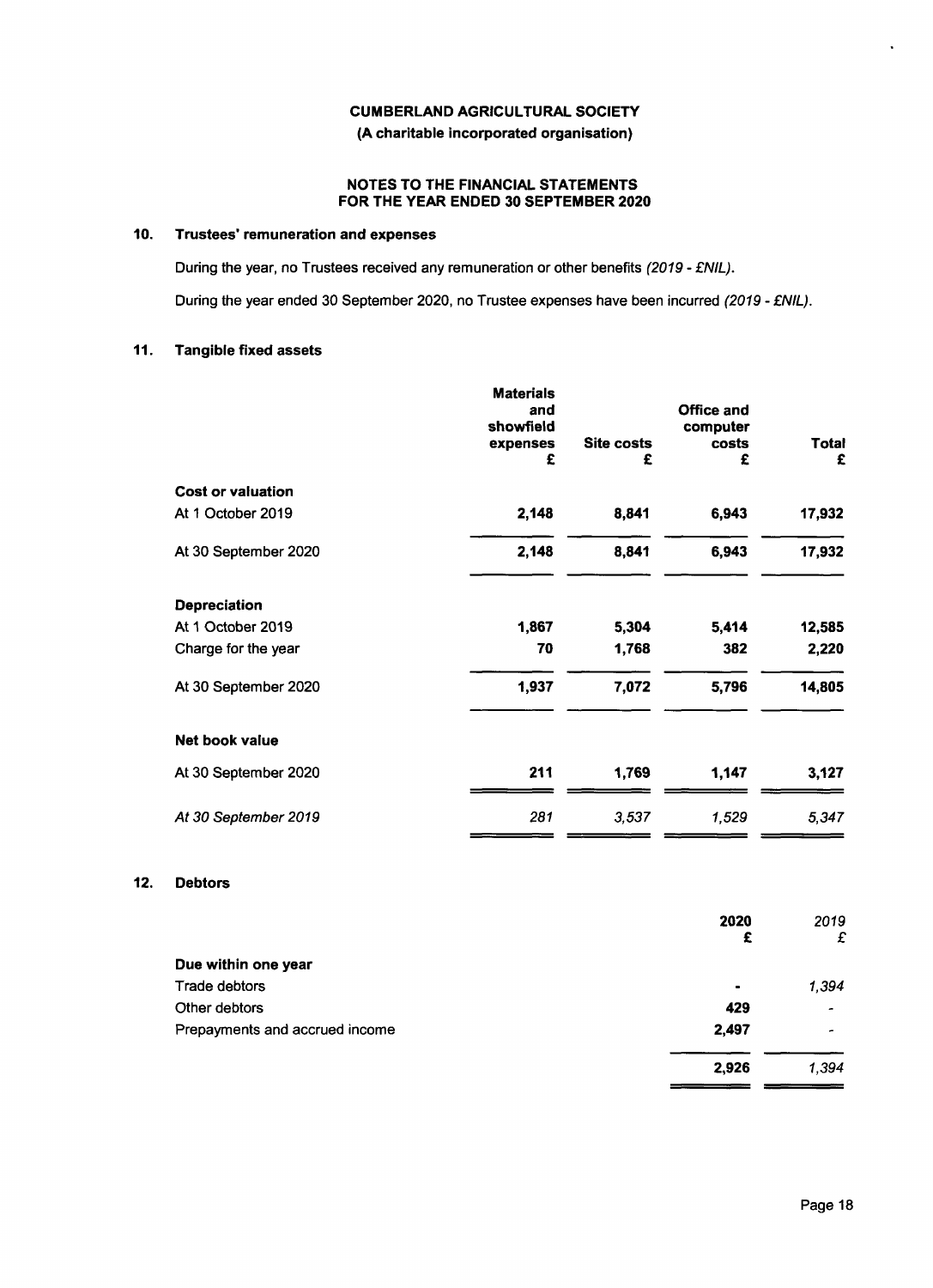**(A charitable incorporated organisation)**

## **NOTES TO THE FINANCIAL STATEMENTS FOR THE YEAR ENDED 30 SEPTEMBER 2020**

## **10. Trustees remuneration and expenses**

During the year, no Trustees received any remuneration or other benefits *(2019 − MIL).*

During the year ended 30 September 2020, no Trustee expenses have been incurred (2019 - £NIL

## **11. Tangible fixed assets**

|                          | <b>Materials</b><br>and<br>showfield<br>expenses<br>£ | Site costs<br>£ | Office and<br>computer<br>costs<br>£ | Total<br>£ |
|--------------------------|-------------------------------------------------------|-----------------|--------------------------------------|------------|
| <b>Cost or valuation</b> |                                                       |                 |                                      |            |
| At 1 October 2019        | 2,148                                                 | 8,841           | 6,943                                | 17,932     |
| At 30 September 2020     | 2,148                                                 | 8,841           | 6,943                                | 17,932     |
| <b>Depreciation</b>      |                                                       |                 |                                      |            |
| At 1 October 2019        | 1,867                                                 | 5,304           | 5,414                                | 12,585     |
| Charge for the year      | 70                                                    | 1,768           | 382                                  | 2,220      |
| At 30 September 2020     | 1,937                                                 | 7,072           | 5,796                                | 14,805     |
| <b>Net book value</b>    |                                                       |                 |                                      |            |
| At 30 September 2020     | 211                                                   | 1,769           | 1,147                                | 3,127      |
| At 30 September 2019     | 281                                                   | 3,537           | 1,529                                | 5,347      |
|                          |                                                       |                 |                                      |            |

## **12. Debtors**

|                                | 2020           | 2019           |
|--------------------------------|----------------|----------------|
|                                | £              | £              |
| Due within one year            |                |                |
| Trade debtors                  | $\blacksquare$ | 1,394          |
| Other debtors                  | 429            | $\overline{a}$ |
| Prepayments and accrued income | 2,497          | -              |
|                                | 2,926          | 1,394          |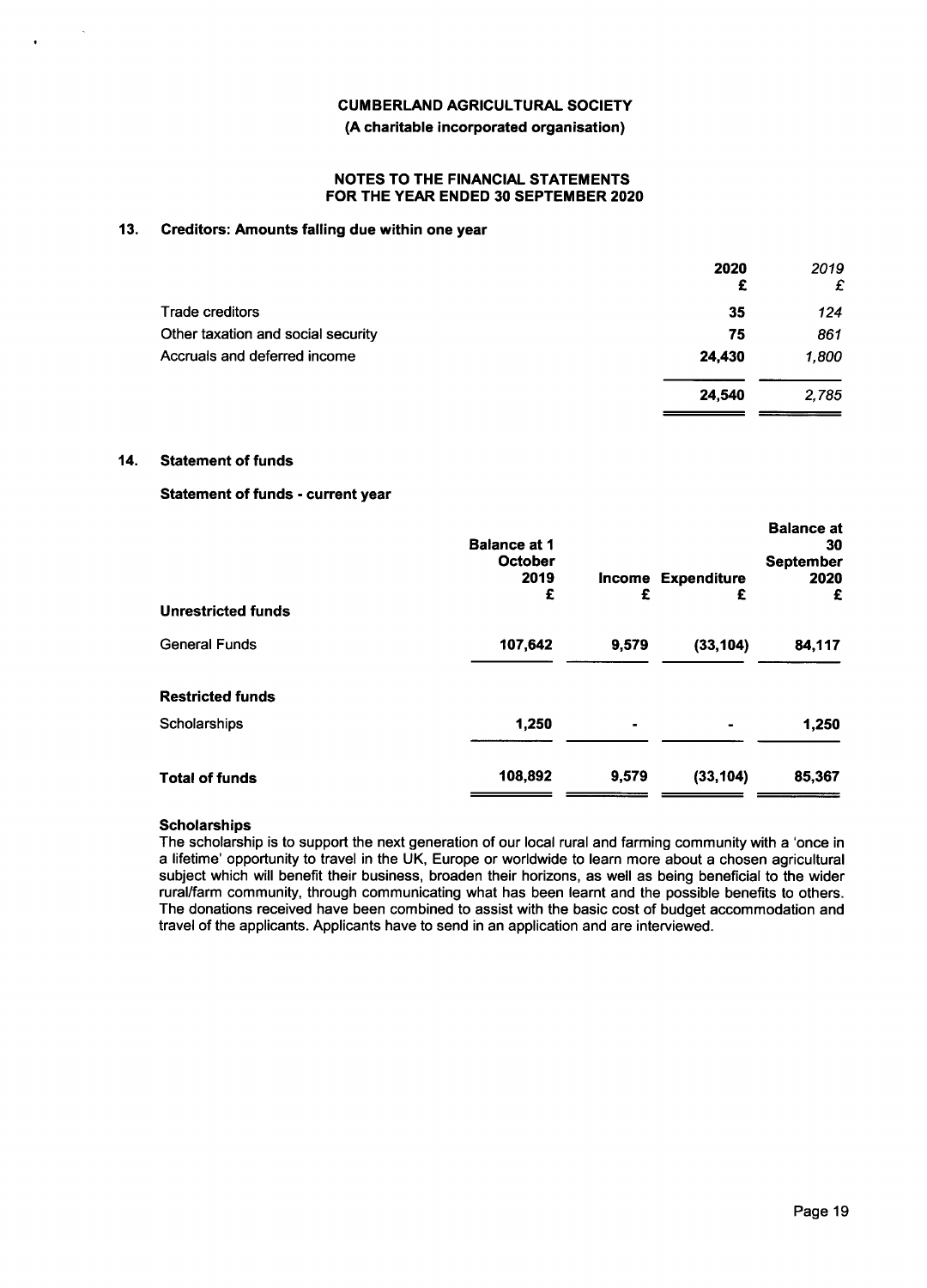## **(A charitable incorporated organisation)**

#### **NOTES TO THE FINANCIAL STATEMENTS FOR THE YEAR ENDED 30 SEPTEMBER 2020**

## **13. Creditors: Amounts falling due within one year**

|                                    | 2020<br>£ | 2019<br>£ |
|------------------------------------|-----------|-----------|
| <b>Trade creditors</b>             | 35        | 124       |
| Other taxation and social security | 75        | 861       |
| Accruals and deferred income       | 24,430    | 1.800     |
|                                    | 24.540    | 2,785     |

#### **14. Statement of funds**

# **Statement of funds − current year**

| <b>Unrestricted funds</b> | <b>Balance at 1</b><br><b>October</b><br>2019<br>£ | Income<br>£ | <b>Expenditure</b><br>£ | <b>Balance at</b><br>30<br><b>September</b><br>2020<br>£ |
|---------------------------|----------------------------------------------------|-------------|-------------------------|----------------------------------------------------------|
| <b>General Funds</b>      | 107,642                                            | 9.579       | (33, 104)               | 84,117                                                   |
| <b>Restricted funds</b>   |                                                    |             |                         |                                                          |
| Scholarships              | 1,250                                              |             |                         | 1,250                                                    |
| <b>Total of funds</b>     | 108,892                                            | 9,579       | (33, 104)               | 85,367                                                   |

## **Scholarships**

The scholarship is to support the next generation of our local rural and farming community with a 'once in a lifetime' opportunity to travel in the UK, Europe or worldwide to learn more about a chosen agricultural subject which will benefit their business, broaden their horizons, as well as being beneficial to the wider rural/farm community, through communicating what has been learnt and the possible benefits to others. The donations received have been combined to assist with the basic cost of budget accommodation and travel of the applicants. Applicants have to send in an application and are interviewed.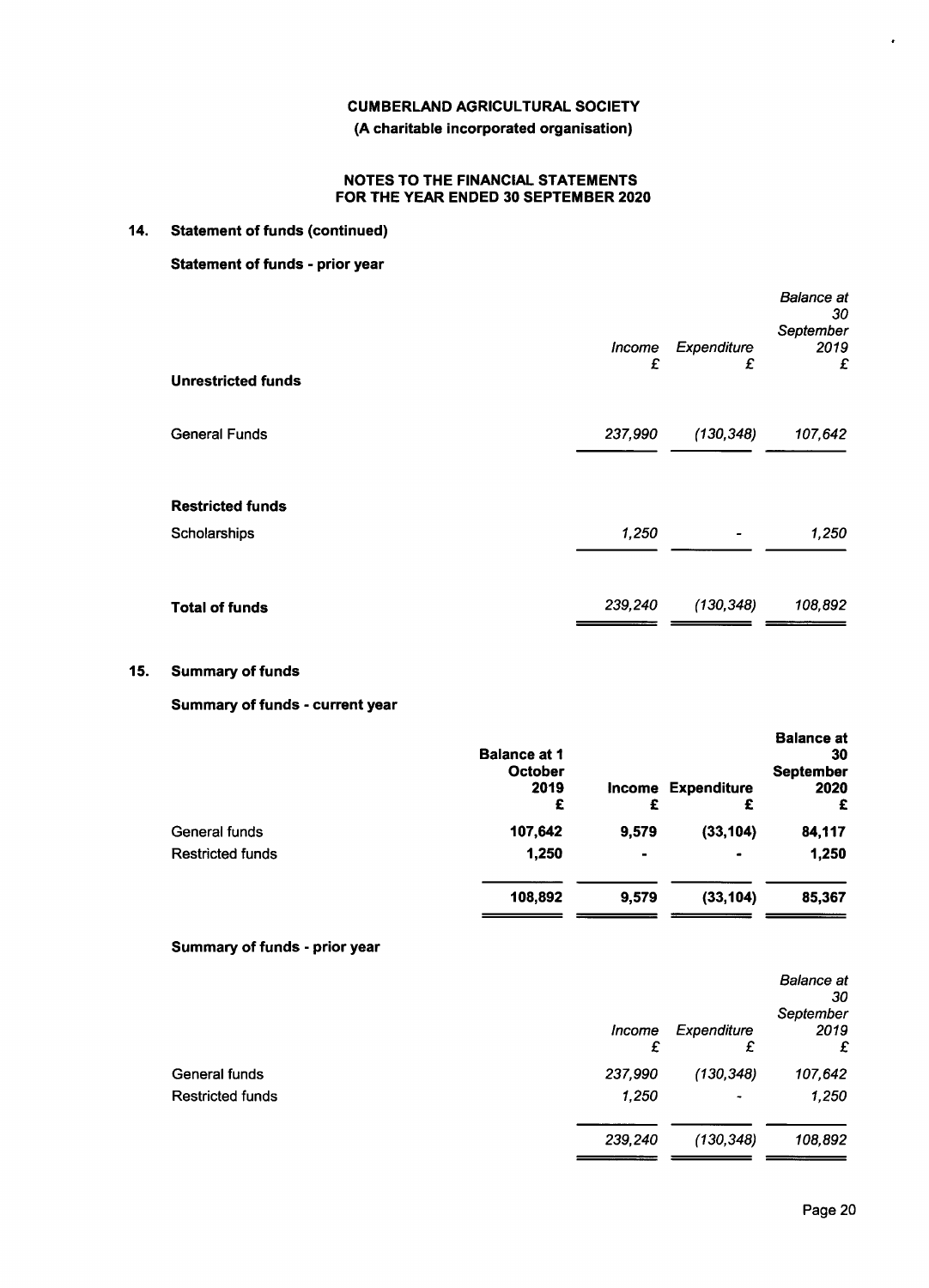**(A charitable incorporated organisation)**

## **NOTES TO THE FINANCIAL STATEMENTS FOR THE YEAR ENDED 30 SEPTEMBER 2020**

# **14. Statement of funds (continued)**

# **Statement of funds − prior year**

| <b>Unrestricted funds</b>               | <i><b>Income</b></i><br>£ | Expenditure<br>£ | <b>Balance</b> at<br>30<br>September<br>2019<br>£ |
|-----------------------------------------|---------------------------|------------------|---------------------------------------------------|
| <b>General Funds</b>                    | 237,990                   | (130, 348)       | 107,642                                           |
| <b>Restricted funds</b><br>Scholarships | 1,250                     |                  | 1,250                                             |
| <b>Total of funds</b>                   | 239,240                   | (130, 348)       | 108,892                                           |

## **15. Summary of funds**

# **Summary of funds − current year**

| <b>Balance at 1</b><br>October<br>2019<br>£ | £              | <b>Expenditure</b><br>£ | <b>Balance at</b><br>30<br><b>September</b><br>2020<br>£ |
|---------------------------------------------|----------------|-------------------------|----------------------------------------------------------|
| 107,642                                     | 9,579          | (33, 104)               | 84,117                                                   |
| 1,250                                       | $\blacksquare$ | ۰                       | 1,250                                                    |
| 108,892                                     | 9,579          | (33, 104)               | 85,367                                                   |
|                                             |                |                         | Income                                                   |

# **Summary of funds − prior year**

|                         |             |                       | <b>Balance</b> at<br>30<br>September |
|-------------------------|-------------|-----------------------|--------------------------------------|
|                         | Income<br>£ | Expenditure<br>£      | 2019<br>£                            |
| General funds           | 237,990     | (130, 348)            | 107,642                              |
| <b>Restricted funds</b> | 1,250       | $\tilde{\phantom{a}}$ | 1,250                                |
|                         | 239,240     | (130, 348)            | 108,892                              |